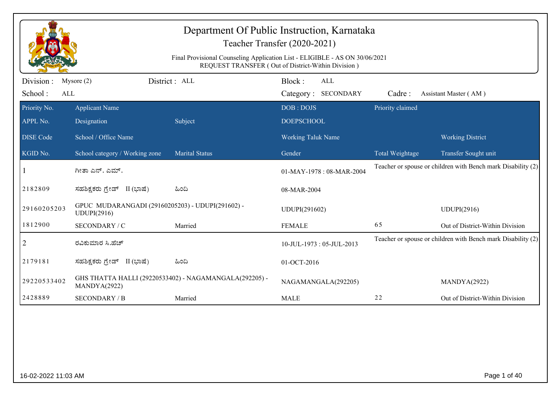|                             |                                                                 | Final Provisional Counseling Application List - ELIGIBLE - AS ON 30/06/2021 | Department Of Public Instruction, Karnataka<br>Teacher Transfer (2020-2021)<br>REQUEST TRANSFER (Out of District-Within Division) |                  |                                                              |
|-----------------------------|-----------------------------------------------------------------|-----------------------------------------------------------------------------|-----------------------------------------------------------------------------------------------------------------------------------|------------------|--------------------------------------------------------------|
| Division:<br>School:<br>ALL | Mysore $(2)$                                                    | District: ALL                                                               | Block:<br>ALL<br>Category: SECONDARY                                                                                              | Cadre:           | Assistant Master (AM)                                        |
| Priority No.<br>APPL No.    | <b>Applicant Name</b><br>Designation                            | Subject                                                                     | DOB: DOJS<br><b>DOEPSCHOOL</b>                                                                                                    | Priority claimed |                                                              |
| <b>DISE Code</b>            | School / Office Name                                            |                                                                             | <b>Working Taluk Name</b>                                                                                                         |                  | <b>Working District</b>                                      |
| KGID No.                    | School category / Working zone                                  | <b>Marital Status</b>                                                       | Gender                                                                                                                            | Total Weightage  | Transfer Sought unit                                         |
|                             | ಗೀತಾ ಎನ್. ಎಮ್.                                                  |                                                                             | 01-MAY-1978: 08-MAR-2004                                                                                                          |                  | Teacher or spouse or children with Bench mark Disability (2) |
| 2182809                     | ಸಹಶಿಕ್ಷಕರು ಗ್ರೇಡ್ II (ಭಾಷೆ)                                     | ಹಿಂದಿ                                                                       | 08-MAR-2004                                                                                                                       |                  |                                                              |
| 29160205203                 | GPUC MUDARANGADI (29160205203) - UDUPI(291602) -<br>UDUPI(2916) |                                                                             | UDUPI(291602)                                                                                                                     |                  | UDUPI(2916)                                                  |
| 1812900                     | SECONDARY / C                                                   | Married                                                                     | <b>FEMALE</b>                                                                                                                     | 65               | Out of District-Within Division                              |
| 2                           | ರವಿಕುಮಾರ ಸಿ.ಹೆಚ್                                                |                                                                             | 10-JUL-1973: 05-JUL-2013                                                                                                          |                  | Teacher or spouse or children with Bench mark Disability (2) |
| 2179181                     | ಸಹಶಿಕ್ಷಕರು ಗ್ರೇಡ್ II (ಭಾಷೆ)                                     | ಹಿಂದಿ                                                                       | 01-OCT-2016                                                                                                                       |                  |                                                              |
| 29220533402                 | MANDYA(2922)                                                    | GHS THATTA HALLI (29220533402) - NAGAMANGALA(292205) -                      | NAGAMANGALA(292205)                                                                                                               |                  | MANDYA(2922)                                                 |
| 2428889                     | <b>SECONDARY / B</b>                                            | Married                                                                     | <b>MALE</b>                                                                                                                       | 22               | Out of District-Within Division                              |
|                             |                                                                 |                                                                             |                                                                                                                                   |                  |                                                              |
| 16-02-2022 11:03 AM         |                                                                 |                                                                             |                                                                                                                                   |                  | Page 1 of 40                                                 |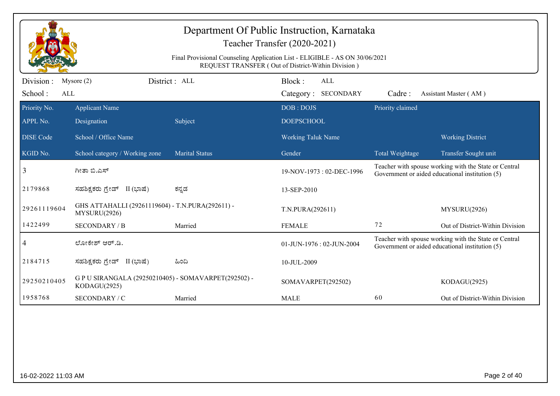|                  |                                                                      |                                                                             | Department Of Public Instruction, Karnataka<br>Teacher Transfer (2020-2021) |                  |                                                                                                          |
|------------------|----------------------------------------------------------------------|-----------------------------------------------------------------------------|-----------------------------------------------------------------------------|------------------|----------------------------------------------------------------------------------------------------------|
|                  |                                                                      | Final Provisional Counseling Application List - ELIGIBLE - AS ON 30/06/2021 | REQUEST TRANSFER (Out of District-Within Division)                          |                  |                                                                                                          |
| Division:        | Mysore $(2)$                                                         | District: ALL                                                               | Block:<br><b>ALL</b>                                                        |                  |                                                                                                          |
| School:<br>ALL   |                                                                      |                                                                             | Category: SECONDARY                                                         | Cadre:           | Assistant Master (AM)                                                                                    |
| Priority No.     | <b>Applicant Name</b>                                                |                                                                             | DOB: DOJS                                                                   | Priority claimed |                                                                                                          |
| APPL No.         | Designation                                                          | Subject                                                                     | <b>DOEPSCHOOL</b>                                                           |                  |                                                                                                          |
| <b>DISE Code</b> | School / Office Name                                                 |                                                                             | Working Taluk Name                                                          |                  | <b>Working District</b>                                                                                  |
| KGID No.         | School category / Working zone                                       | <b>Marital Status</b>                                                       | Gender                                                                      | Total Weightage  | Transfer Sought unit                                                                                     |
| 3                | ಗೀತಾ ಬಿ.ಎಸ್                                                          |                                                                             | 19-NOV-1973: 02-DEC-1996                                                    |                  | Teacher with spouse working with the State or Central<br>Government or aided educational institution (5) |
| 2179868          | ಸಹಶಿಕ್ಷಕರು ಗ್ರೇಡ್ II (ಭಾಷೆ)                                          | ಕನ್ನಡ                                                                       | 13-SEP-2010                                                                 |                  |                                                                                                          |
| 29261119604      | GHS ATTAHALLI (29261119604) - T.N.PURA(292611) -<br>MYSURU(2926)     |                                                                             | T.N.PURA(292611)                                                            |                  | MYSURU(2926)                                                                                             |
| 1422499          | <b>SECONDARY / B</b>                                                 | Married                                                                     | <b>FEMALE</b>                                                               | 72               | Out of District-Within Division                                                                          |
| 4                | ಲೋಕೇಶ್ ಆರ್.ಡಿ.                                                       |                                                                             | 01-JUN-1976: 02-JUN-2004                                                    |                  | Teacher with spouse working with the State or Central<br>Government or aided educational institution (5) |
| 2184715          | ಸಹಶಿಕ್ಷಕರು ಗ್ರೇಡ್ II (ಭಾಷೆ)                                          | ಹಿಂದಿ                                                                       | 10-JUL-2009                                                                 |                  |                                                                                                          |
| 29250210405      | G P U SIRANGALA (29250210405) - SOMAVARPET(292502) -<br>KODAGU(2925) |                                                                             | SOMAVARPET(292502)                                                          |                  | KODAGU(2925)                                                                                             |
| 1958768          | SECONDARY / C                                                        | Married                                                                     | <b>MALE</b>                                                                 | 60               | Out of District-Within Division                                                                          |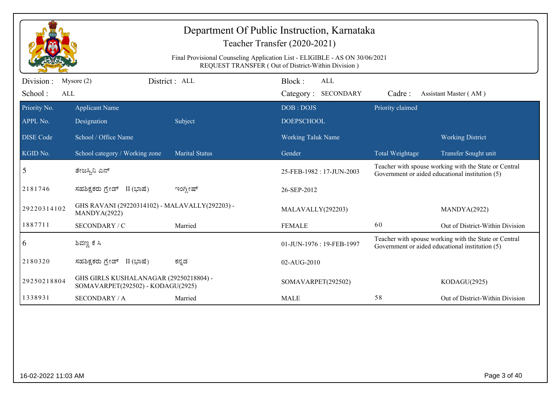|                                    | Department Of Public Instruction, Karnataka<br>Teacher Transfer (2020-2021)<br>Final Provisional Counseling Application List - ELIGIBLE - AS ON 30/06/2021<br>REQUEST TRANSFER (Out of District-Within Division) |                       |                                             |                  |                                                                                                          |  |  |  |
|------------------------------------|------------------------------------------------------------------------------------------------------------------------------------------------------------------------------------------------------------------|-----------------------|---------------------------------------------|------------------|----------------------------------------------------------------------------------------------------------|--|--|--|
| Division:<br>School:<br><b>ALL</b> | Mysore $(2)$                                                                                                                                                                                                     | District: ALL         | Block:<br><b>ALL</b><br>Category: SECONDARY | Cadre:           | Assistant Master (AM)                                                                                    |  |  |  |
| Priority No.                       | <b>Applicant Name</b>                                                                                                                                                                                            |                       | DOB: DOJS                                   | Priority claimed |                                                                                                          |  |  |  |
| APPL No.                           | Designation                                                                                                                                                                                                      | Subject               | <b>DOEPSCHOOL</b>                           |                  |                                                                                                          |  |  |  |
| <b>DISE Code</b>                   | School / Office Name                                                                                                                                                                                             |                       | <b>Working Taluk Name</b>                   |                  | <b>Working District</b>                                                                                  |  |  |  |
| KGID No.                           | School category / Working zone                                                                                                                                                                                   | <b>Marital Status</b> | Gender                                      | Total Weightage  | Transfer Sought unit                                                                                     |  |  |  |
| 5                                  | ತೇಜಸ್ವಿನಿ ಎನ್                                                                                                                                                                                                    |                       | 25-FEB-1982: 17-JUN-2003                    |                  | Teacher with spouse working with the State or Central<br>Government or aided educational institution (5) |  |  |  |
| 2181746                            | ಸಹಶಿಕ್ಷಕರು ಗ್ರೇಡ್ II (ಭಾಷೆ)                                                                                                                                                                                      | ಇಂಗ್ಲೀಷ್              | 26-SEP-2012                                 |                  |                                                                                                          |  |  |  |
| 29220314102                        | GHS RAVANI (29220314102) - MALAVALLY(292203) -<br>MANDYA(2922)                                                                                                                                                   |                       | MALAVALLY(292203)                           |                  | MANDYA(2922)                                                                                             |  |  |  |
| 1887711                            | SECONDARY / C                                                                                                                                                                                                    | Married               | <b>FEMALE</b>                               | 60               | Out of District-Within Division                                                                          |  |  |  |
| 6                                  | ಶಿವಣ್ಣ ಕೆ ಸಿ                                                                                                                                                                                                     |                       | 01-JUN-1976: 19-FEB-1997                    |                  | Teacher with spouse working with the State or Central<br>Government or aided educational institution (5) |  |  |  |
| 2180320                            | ಸಹಶಿಕ್ಷಕರು ಗ್ರೇಡ್ II (ಭಾಷೆ)                                                                                                                                                                                      | ಕನ್ನಡ                 | 02-AUG-2010                                 |                  |                                                                                                          |  |  |  |
| 29250218804                        | GHS GIRLS KUSHALANAGAR (29250218804) -<br>SOMAVARPET(292502) - KODAGU(2925)                                                                                                                                      |                       | SOMAVARPET(292502)                          |                  | KODAGU(2925)                                                                                             |  |  |  |
| 1338931                            | <b>SECONDARY / A</b>                                                                                                                                                                                             | Married               | <b>MALE</b>                                 | 58               | Out of District-Within Division                                                                          |  |  |  |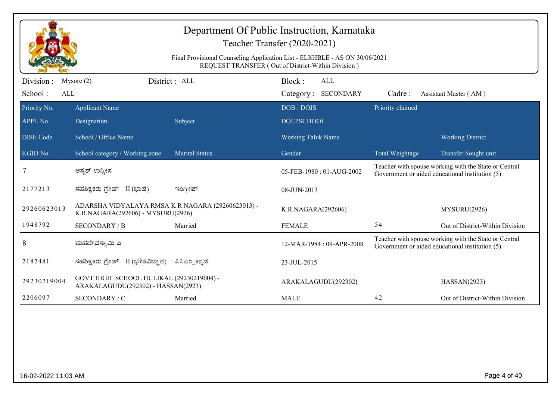|                                     | Department Of Public Instruction, Karnataka<br>Teacher Transfer (2020-2021)<br>Final Provisional Counseling Application List - ELIGIBLE - AS ON 30/06/2021<br>REQUEST TRANSFER (Out of District-Within Division) |                       |                           |                                   |                  |                                                                                                          |  |  |
|-------------------------------------|------------------------------------------------------------------------------------------------------------------------------------------------------------------------------------------------------------------|-----------------------|---------------------------|-----------------------------------|------------------|----------------------------------------------------------------------------------------------------------|--|--|
| Division :<br>School:<br><b>ALL</b> | Mysore $(2)$                                                                                                                                                                                                     | District: ALL         | Block:                    | <b>ALL</b><br>Category: SECONDARY | Cadre:           | Assistant Master (AM)                                                                                    |  |  |
| Priority No.                        | <b>Applicant Name</b>                                                                                                                                                                                            |                       | DOB: DOJS                 |                                   | Priority claimed |                                                                                                          |  |  |
| APPL No.                            | Designation                                                                                                                                                                                                      | Subject               | <b>DOEPSCHOOL</b>         |                                   |                  |                                                                                                          |  |  |
| <b>DISE Code</b>                    | School / Office Name                                                                                                                                                                                             |                       | <b>Working Taluk Name</b> |                                   |                  | <b>Working District</b>                                                                                  |  |  |
| KGID No.                            | School category / Working zone                                                                                                                                                                                   | <b>Marital Status</b> | Gender                    |                                   | Total Weightage  | Transfer Sought unit                                                                                     |  |  |
| $\tau$                              | ಅಸ್ಮತ್ ಉನ್ನೀಸ                                                                                                                                                                                                    |                       |                           | 05-FEB-1980: 01-AUG-2002          |                  | Teacher with spouse working with the State or Central<br>Government or aided educational institution (5) |  |  |
| 2177213                             | ಸಹಶಿಕ್ಷಕರು ಗ್ರೇಡ್ II (ಭಾಷೆ)                                                                                                                                                                                      | ಇಂಗ್ಲೀಷ್              | 08-JUN-2013               |                                   |                  |                                                                                                          |  |  |
| 29260623013                         | ADARSHA VIDYALAYA RMSA K R NAGARA (29260623013) -<br>K.R.NAGARA(292606) - MYSURU(2926)                                                                                                                           |                       | K.R.NAGARA(292606)        |                                   |                  | MYSURU(2926)                                                                                             |  |  |
| 1948792                             | <b>SECONDARY / B</b>                                                                                                                                                                                             | Married               | <b>FEMALE</b>             |                                   | 54               | Out of District-Within Division                                                                          |  |  |
| 8                                   | ಮಹದೇವಸ್ವಾಮಿ ಪಿ                                                                                                                                                                                                   |                       |                           | 12-MAR-1984: 09-APR-2008          |                  | Teacher with spouse working with the State or Central<br>Government or aided educational institution (5) |  |  |
| 2182481                             | ಸಹಶಿಕ್ಷಕರು ಗ್ರೇಡ್<br>II (ಭೌತವಿಜ್ಞಾನ)                                                                                                                                                                             | ಪಿಸಿಎಂ ಕನ್ನಡ          | 23-JUL-2015               |                                   |                  |                                                                                                          |  |  |
| 29230219004                         | GOVT HIGH SCHOOL HULIKAL (29230219004) -<br>ARAKALAGUDU(292302) - HASSAN(2923)                                                                                                                                   |                       |                           | ARAKALAGUDU(292302)               |                  | HASSAN(2923)                                                                                             |  |  |
| 2206097                             | SECONDARY / C                                                                                                                                                                                                    | Married               | <b>MALE</b>               |                                   | 42               | Out of District-Within Division                                                                          |  |  |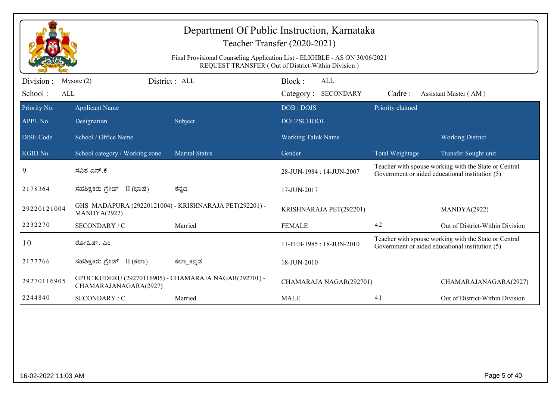| Department Of Public Instruction, Karnataka<br>Teacher Transfer (2020-2021) |                                                                                                                                   |                                                        |                                      |                  |                                                                                                          |  |  |  |
|-----------------------------------------------------------------------------|-----------------------------------------------------------------------------------------------------------------------------------|--------------------------------------------------------|--------------------------------------|------------------|----------------------------------------------------------------------------------------------------------|--|--|--|
|                                                                             | Final Provisional Counseling Application List - ELIGIBLE - AS ON 30/06/2021<br>REQUEST TRANSFER (Out of District-Within Division) |                                                        |                                      |                  |                                                                                                          |  |  |  |
| Division :<br>School:                                                       | Mysore $(2)$<br>ALL                                                                                                               | District : ALL                                         | Block:<br>ALL<br>Category: SECONDARY | Cadre:           | Assistant Master (AM)                                                                                    |  |  |  |
| Priority No.<br>APPL No.                                                    | <b>Applicant Name</b>                                                                                                             |                                                        | DOB: DOJS<br><b>DOEPSCHOOL</b>       | Priority claimed |                                                                                                          |  |  |  |
| <b>DISE Code</b>                                                            | Designation<br>School / Office Name                                                                                               | Subject                                                | <b>Working Taluk Name</b>            |                  | <b>Working District</b>                                                                                  |  |  |  |
| KGID No.                                                                    | School category / Working zone                                                                                                    | <b>Marital Status</b>                                  | Gender                               | Total Weightage  | Transfer Sought unit                                                                                     |  |  |  |
| 9                                                                           | ಸವಿತ ಎನ್.ಕೆ                                                                                                                       |                                                        | 28-JUN-1984 : 14-JUN-2007            |                  | Teacher with spouse working with the State or Central<br>Government or aided educational institution (5) |  |  |  |
| 2178364                                                                     | ಸಹಶಿಕ್ಷಕರು ಗ್ರೇಡ್ II (ಭಾಷೆ)                                                                                                       | ಕನ್ನಡ                                                  | 17-JUN-2017                          |                  |                                                                                                          |  |  |  |
| 29220121004                                                                 | MANDYA(2922)                                                                                                                      | GHS MADAPURA (29220121004) - KRISHNARAJA PET(292201) - | KRISHNARAJA PET(292201)              |                  | MANDYA(2922)                                                                                             |  |  |  |
| 2232270                                                                     | SECONDARY / C                                                                                                                     | Married                                                | <b>FEMALE</b>                        | 42               | Out of District-Within Division                                                                          |  |  |  |
| 10                                                                          | ರೋಹಿತ್. ಎಂ                                                                                                                        |                                                        | 11-FEB-1985: 18-JUN-2010             |                  | Teacher with spouse working with the State or Central<br>Government or aided educational institution (5) |  |  |  |
| 2177766                                                                     | ಸಹಶಿಕ್ಷಕರು ಗ್ರೇಡ್ II (ಕಲಾ)                                                                                                        | ಕಲ್_ಕನ್ನಡ                                              | 18-JUN-2010                          |                  |                                                                                                          |  |  |  |
| 29270116905                                                                 | CHAMARAJANAGARA(2927)                                                                                                             | GPUC KUDERU (29270116905) - CHAMARAJA NAGAR(292701) -  | CHAMARAJA NAGAR(292701)              |                  | CHAMARAJANAGARA(2927)                                                                                    |  |  |  |
| 2244840                                                                     | SECONDARY / C                                                                                                                     | Married                                                | <b>MALE</b>                          | 41               | Out of District-Within Division                                                                          |  |  |  |
|                                                                             |                                                                                                                                   |                                                        |                                      |                  |                                                                                                          |  |  |  |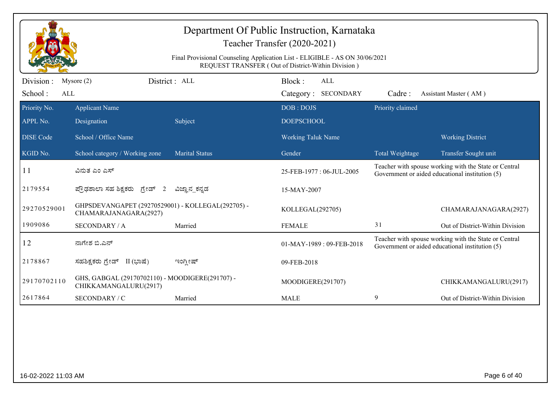|                  | Department Of Public Instruction, Karnataka<br>Teacher Transfer (2020-2021)<br>Final Provisional Counseling Application List - ELIGIBLE - AS ON 30/06/2021 |                       |                                                                     |                  |                                                                                                          |  |  |  |
|------------------|------------------------------------------------------------------------------------------------------------------------------------------------------------|-----------------------|---------------------------------------------------------------------|------------------|----------------------------------------------------------------------------------------------------------|--|--|--|
| Division :       | Mysore $(2)$                                                                                                                                               | District: ALL         | REQUEST TRANSFER (Out of District-Within Division)<br>Block:<br>ALL |                  |                                                                                                          |  |  |  |
| School:<br>ALL   |                                                                                                                                                            |                       | Category: SECONDARY                                                 | Cadre:           | Assistant Master (AM)                                                                                    |  |  |  |
| Priority No.     | <b>Applicant Name</b>                                                                                                                                      |                       | DOB: DOJS                                                           | Priority claimed |                                                                                                          |  |  |  |
| APPL No.         | Designation                                                                                                                                                | Subject               | <b>DOEPSCHOOL</b>                                                   |                  |                                                                                                          |  |  |  |
| <b>DISE Code</b> | School / Office Name                                                                                                                                       |                       | <b>Working Taluk Name</b>                                           |                  | <b>Working District</b>                                                                                  |  |  |  |
| KGID No.         | School category / Working zone                                                                                                                             | <b>Marital Status</b> | Gender                                                              | Total Weightage  | Transfer Sought unit                                                                                     |  |  |  |
| 11               | ವಿನುತ ಎಂ ಎಸ್                                                                                                                                               |                       | 25-FEB-1977: 06-JUL-2005                                            |                  | Teacher with spouse working with the State or Central<br>Government or aided educational institution (5) |  |  |  |
| 2179554          | ಪ್ರೌಢಶಾಲಾ ಸಹ ಶಿಕ್ಷಕರು ಗ್ರೇಡ್ 2                                                                                                                             | ವಿಜ್ಞಾನ ಕನ್ನಡ         | 15-MAY-2007                                                         |                  |                                                                                                          |  |  |  |
| 29270529001      | GHPSDEVANGAPET (29270529001) - KOLLEGAL(292705) -<br>CHAMARAJANAGARA(2927)                                                                                 |                       | KOLLEGAL(292705)                                                    |                  | CHAMARAJANAGARA(2927)                                                                                    |  |  |  |
| 1909086          | <b>SECONDARY / A</b>                                                                                                                                       | Married               | <b>FEMALE</b>                                                       | 31               | Out of District-Within Division                                                                          |  |  |  |
| 12               | ನಾಗೇಶ ಬಿ.ಎನ್                                                                                                                                               |                       | $01-MAY-1989:09-FEB-2018$                                           |                  | Teacher with spouse working with the State or Central<br>Government or aided educational institution (5) |  |  |  |
| 2178867          | ಸಹಶಿಕ್ಷಕರು ಗ್ರೇಡ್ II (ಭಾಷೆ)                                                                                                                                | ಇಂಗ್ಲೀಷ್              | 09-FEB-2018                                                         |                  |                                                                                                          |  |  |  |
| 29170702110      | GHS, GABGAL (29170702110) - MOODIGERE(291707) -<br>CHIKKAMANGALURU(2917)                                                                                   |                       | MOODIGERE(291707)                                                   |                  | CHIKKAMANGALURU(2917)                                                                                    |  |  |  |
| 2617864          | SECONDARY / C                                                                                                                                              | Married               | <b>MALE</b>                                                         | 9                | Out of District-Within Division                                                                          |  |  |  |
|                  |                                                                                                                                                            |                       |                                                                     |                  |                                                                                                          |  |  |  |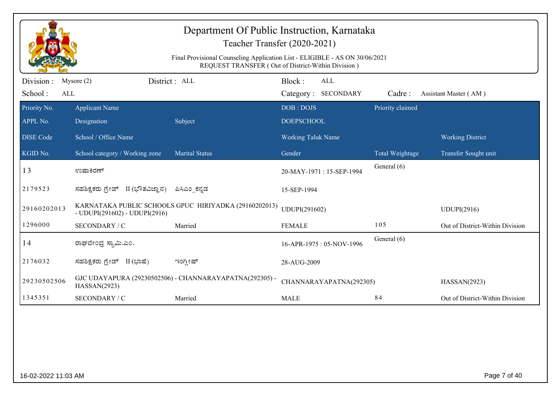|                              | Department Of Public Instruction, Karnataka<br>Teacher Transfer (2020-2021)<br>Final Provisional Counseling Application List - ELIGIBLE - AS ON 30/06/2021<br>REQUEST TRANSFER (Out of District-Within Division) |                                                         |                                |                         |                  |                                 |  |  |
|------------------------------|------------------------------------------------------------------------------------------------------------------------------------------------------------------------------------------------------------------|---------------------------------------------------------|--------------------------------|-------------------------|------------------|---------------------------------|--|--|
| Division :<br>School:<br>ALL | District: ALL<br>Mysore $(2)$                                                                                                                                                                                    |                                                         | Block:<br>Category: SECONDARY  | ALL                     | Cadre:           | Assistant Master (AM)           |  |  |
| Priority No.<br>APPL No.     | <b>Applicant Name</b><br>Designation                                                                                                                                                                             | Subject                                                 | DOB: DOJS<br><b>DOEPSCHOOL</b> |                         | Priority claimed |                                 |  |  |
| <b>DISE Code</b>             | School / Office Name                                                                                                                                                                                             |                                                         | <b>Working Taluk Name</b>      |                         |                  | <b>Working District</b>         |  |  |
| KGID No.                     | School category / Working zone                                                                                                                                                                                   | <b>Marital Status</b>                                   | Gender                         |                         | Total Weightage  | Transfer Sought unit            |  |  |
| 13                           | ಉಷಾಕಿರಣ್                                                                                                                                                                                                         |                                                         | 20-MAY-1971: 15-SEP-1994       |                         | General (6)      |                                 |  |  |
| 2179523                      | ಸಹಶಿಕ್ಷಕರು ಗ್ರೇಡ್ II (ಭೌತವಿಜ್ಞಾನ)                                                                                                                                                                                | ಪಿಸಿಎಂ_ಕನ್ನಡ                                            | 15-SEP-1994                    |                         |                  |                                 |  |  |
| 29160202013                  | - UDUPI(291602) - UDUPI(2916)                                                                                                                                                                                    | KARNATAKA PUBLIC SCHOOLS GPUC HIRIYADKA (29160202013)   | UDUPI(291602)                  |                         |                  | UDUPI(2916)                     |  |  |
| 1296000                      | SECONDARY / C                                                                                                                                                                                                    | Married                                                 | <b>FEMALE</b>                  |                         | 105              | Out of District-Within Division |  |  |
| 14                           | ರಾಘವೇಂದ್ರ ಸ್ವಾಮಿ.ಎಂ.                                                                                                                                                                                             |                                                         | 16-APR-1975: 05-NOV-1996       |                         | General (6)      |                                 |  |  |
| 2176032                      | ಸಹಶಿಕ್ಷಕರು ಗ್ರೇಡ್ II (ಭಾಷೆ)                                                                                                                                                                                      | ಇಂಗ್ಲೀಷ್                                                | 28-AUG-2009                    |                         |                  |                                 |  |  |
| 29230502506                  | HASSAN(2923)                                                                                                                                                                                                     | GJC UDAYAPURA (29230502506) - CHANNARAYAPATNA(292305) - |                                | CHANNARAYAPATNA(292305) |                  | HASSAN(2923)                    |  |  |
| 1345351                      | SECONDARY / C                                                                                                                                                                                                    | Married                                                 | <b>MALE</b>                    |                         | 84               | Out of District-Within Division |  |  |
|                              |                                                                                                                                                                                                                  |                                                         |                                |                         |                  |                                 |  |  |
| 16-02-2022 11:03 AM          |                                                                                                                                                                                                                  |                                                         |                                |                         |                  | Page 7 of 40                    |  |  |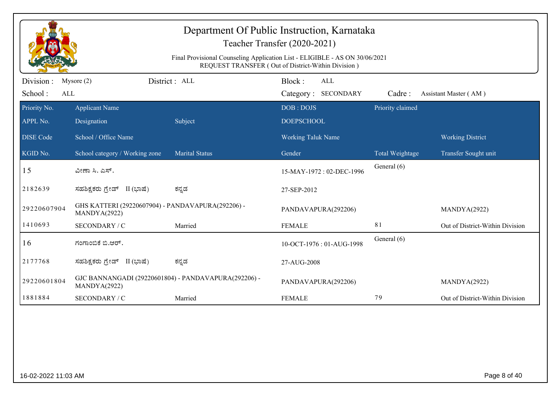|                              | Department Of Public Instruction, Karnataka<br>Teacher Transfer (2020-2021)<br>Final Provisional Counseling Application List - ELIGIBLE - AS ON 30/06/2021<br>REQUEST TRANSFER (Out of District-Within Division) |                       |                                             |                  |                                 |  |  |  |
|------------------------------|------------------------------------------------------------------------------------------------------------------------------------------------------------------------------------------------------------------|-----------------------|---------------------------------------------|------------------|---------------------------------|--|--|--|
| Division :<br>School:<br>ALL | Mysore $(2)$                                                                                                                                                                                                     | District: ALL         | Block:<br><b>ALL</b><br>Category: SECONDARY | Cadre:           | Assistant Master (AM)           |  |  |  |
| Priority No.<br>APPL No.     | <b>Applicant Name</b><br>Designation                                                                                                                                                                             | Subject               | DOB: DOJS<br><b>DOEPSCHOOL</b>              | Priority claimed |                                 |  |  |  |
| <b>DISE Code</b>             | School / Office Name                                                                                                                                                                                             |                       | <b>Working Taluk Name</b>                   |                  | <b>Working District</b>         |  |  |  |
| KGID No.                     | School category / Working zone                                                                                                                                                                                   | <b>Marital Status</b> | Gender                                      | Total Weightage  | Transfer Sought unit            |  |  |  |
| 15                           | ವೀಣಾ ಸಿ. ಎಸ್.                                                                                                                                                                                                    |                       | 15-MAY-1972: 02-DEC-1996                    | General (6)      |                                 |  |  |  |
| 2182639                      | ಸಹಶಿಕ್ಷಕರು ಗ್ರೇಡ್ II (ಭಾಷೆ)                                                                                                                                                                                      | ಕನ್ನಡ                 | 27-SEP-2012                                 |                  |                                 |  |  |  |
| 29220607904                  | GHS KATTERI (29220607904) - PANDAVAPURA(292206) -<br>MANDYA(2922)                                                                                                                                                |                       | PANDAVAPURA(292206)                         |                  | MANDYA(2922)                    |  |  |  |
| 1410693                      | SECONDARY / C                                                                                                                                                                                                    | Married               | <b>FEMALE</b>                               | 81               | Out of District-Within Division |  |  |  |
| 16                           | ಗಂಗಾಂಬಿಕೆ ಬಿ.ಆರ್.                                                                                                                                                                                                |                       | 10-OCT-1976: 01-AUG-1998                    | General (6)      |                                 |  |  |  |
| 2177768                      | ಸಹಶಿಕ್ಷಕರು ಗ್ರೇಡ್ II (ಭಾಷೆ)                                                                                                                                                                                      | ಕನ್ನಡ                 | 27-AUG-2008                                 |                  |                                 |  |  |  |
| 29220601804                  | GJC BANNANGADI (29220601804) - PANDAVAPURA(292206) -<br>MANDYA(2922)                                                                                                                                             |                       | PANDAVAPURA(292206)                         |                  | MANDYA(2922)                    |  |  |  |
| 1881884                      | SECONDARY / C                                                                                                                                                                                                    | Married               | <b>FEMALE</b>                               | 79               | Out of District-Within Division |  |  |  |
|                              |                                                                                                                                                                                                                  |                       |                                             |                  |                                 |  |  |  |
| 16-02-2022 11:03 AM          |                                                                                                                                                                                                                  |                       |                                             |                  | Page 8 of 40                    |  |  |  |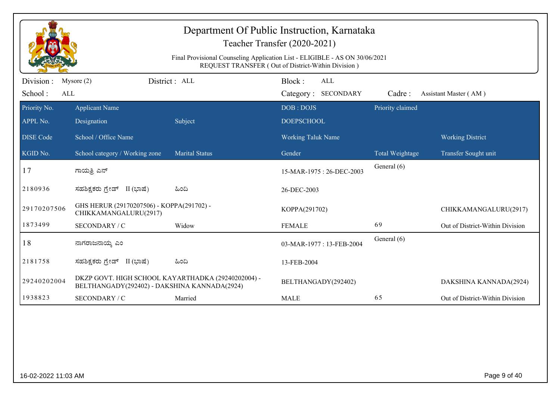|                             | Department Of Public Instruction, Karnataka<br>Teacher Transfer (2020-2021)<br>Final Provisional Counseling Application List - ELIGIBLE - AS ON 30/06/2021<br>REQUEST TRANSFER (Out of District-Within Division) |                       |                                      |                  |                                 |  |  |  |  |
|-----------------------------|------------------------------------------------------------------------------------------------------------------------------------------------------------------------------------------------------------------|-----------------------|--------------------------------------|------------------|---------------------------------|--|--|--|--|
| Division:<br>School:<br>ALL | Mysore $(2)$                                                                                                                                                                                                     | District: ALL         | Block:<br>ALL<br>Category: SECONDARY | Cadre:           | Assistant Master (AM)           |  |  |  |  |
| Priority No.<br>APPL No.    | <b>Applicant Name</b><br>Designation                                                                                                                                                                             | Subject               | DOB: DOJS<br><b>DOEPSCHOOL</b>       | Priority claimed |                                 |  |  |  |  |
| <b>DISE Code</b>            | School / Office Name                                                                                                                                                                                             |                       | Working Taluk Name                   |                  | <b>Working District</b>         |  |  |  |  |
| KGID No.                    | School category / Working zone                                                                                                                                                                                   | <b>Marital Status</b> | Gender                               | Total Weightage  | Transfer Sought unit            |  |  |  |  |
| 17                          | ಗಾಯತ್ರಿ ಎನ್                                                                                                                                                                                                      |                       | 15-MAR-1975: 26-DEC-2003             | General (6)      |                                 |  |  |  |  |
| 2180936                     | ಸಹಶಿಕ್ಷಕರು ಗ್ರೇಡ್ II (ಭಾಷೆ)                                                                                                                                                                                      | ಹಿಂದಿ                 | 26-DEC-2003                          |                  |                                 |  |  |  |  |
| 29170207506                 | GHS HERUR (29170207506) - KOPPA(291702) -<br>CHIKKAMANGALURU(2917)                                                                                                                                               |                       | KOPPA(291702)                        |                  | CHIKKAMANGALURU(2917)           |  |  |  |  |
| 1873499                     | SECONDARY / C                                                                                                                                                                                                    | Widow                 | <b>FEMALE</b>                        | 69               | Out of District-Within Division |  |  |  |  |
| 18                          | ನಾಗರಾಜನಾಯ್ಕ ಎಂ                                                                                                                                                                                                   |                       | 03-MAR-1977: 13-FEB-2004             | General (6)      |                                 |  |  |  |  |
| 2181758                     | ಸಹಶಿಕ್ಷಕರು ಗ್ರೇಡ್ II (ಭಾಷೆ)                                                                                                                                                                                      | ಹಿಂದಿ                 | 13-FEB-2004                          |                  |                                 |  |  |  |  |
| 29240202004                 | DKZP GOVT. HIGH SCHOOL KAYARTHADKA (29240202004) -<br>BELTHANGADY(292402) - DAKSHINA KANNADA(2924)                                                                                                               |                       | BELTHANGADY(292402)                  |                  | DAKSHINA KANNADA(2924)          |  |  |  |  |
| 1938823                     | SECONDARY / C                                                                                                                                                                                                    | Married               | <b>MALE</b>                          | 65               | Out of District-Within Division |  |  |  |  |
|                             |                                                                                                                                                                                                                  |                       |                                      |                  |                                 |  |  |  |  |
| 16-02-2022 11:03 AM         |                                                                                                                                                                                                                  |                       |                                      |                  | Page 9 of 40                    |  |  |  |  |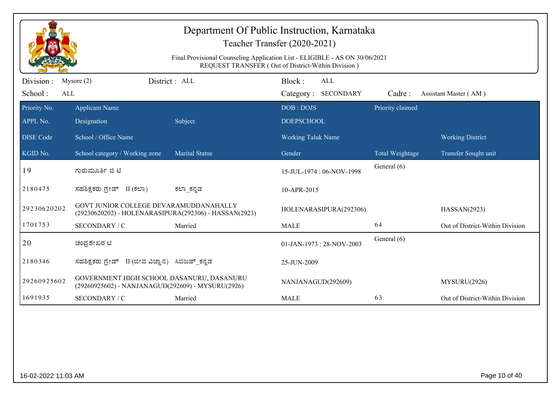|                                     |                                                                                                 | Final Provisional Counseling Application List - ELIGIBLE - AS ON 30/06/2021 | Teacher Transfer (2020-2021)<br>REQUEST TRANSFER (Out of District-Within Division) |                  |                                 |
|-------------------------------------|-------------------------------------------------------------------------------------------------|-----------------------------------------------------------------------------|------------------------------------------------------------------------------------|------------------|---------------------------------|
| Division :<br>School:<br><b>ALL</b> | Mysore $(2)$                                                                                    | District: ALL                                                               | Block:<br>ALL<br>Category: SECONDARY                                               | Cadre:           | Assistant Master (AM)           |
| Priority No.<br>APPL No.            | <b>Applicant Name</b><br>Designation                                                            | Subject                                                                     | DOB: DOJS<br><b>DOEPSCHOOL</b>                                                     | Priority claimed |                                 |
| <b>DISE Code</b>                    | School / Office Name                                                                            |                                                                             | <b>Working Taluk Name</b>                                                          |                  | <b>Working District</b>         |
| KGID No.                            | School category / Working zone                                                                  | <b>Marital Status</b>                                                       | Gender                                                                             | Total Weightage  | Transfer Sought unit            |
| 19                                  | ಗುರುಮೂರ್ತಿ ಜಿ ಟಿ                                                                                |                                                                             | 15-JUL-1974 : 06-NOV-1998                                                          | General (6)      |                                 |
| 2180475                             | ಸಹಶಿಕ್ಷಕರು ಗ್ರೇಡ್ II (ಕಲಾ)                                                                      | ಕಲ್_ಕನ್ನಡ                                                                   | 10-APR-2015                                                                        |                  |                                 |
| 29230620202                         | GOVT JUNIOR COLLEGE DEVARAMUDDANAHALLY<br>(29230620202) - HOLENARASIPURA(292306) - HASSAN(2923) |                                                                             | HOLENARASIPURA(292306)                                                             |                  | HASSAN(2923)                    |
| 1701753                             | SECONDARY / C                                                                                   | Married                                                                     | <b>MALE</b>                                                                        | 64               | Out of District-Within Division |
| 20                                  | ಚಂದ್ರಶೇಖರ ಟಿ                                                                                    |                                                                             | 01-JAN-1973: 28-NOV-2003                                                           | General (6)      |                                 |
| 2180346                             | ಸಹಶಿಕ್ಷಕರು ಗ್ರೇಡ್ II (ಜೀವ ವಿಜ್ಞಾನ) ಸಿಬಿಜಡ್ ಕನ್ನಡ                                                |                                                                             | 25-JUN-2009                                                                        |                  |                                 |
| 29260925602                         | GOVERNMENT HIGH SCHOOL DASANURU, DASANURU<br>(29260925602) - NANJANAGUD(292609) - MYSURU(2926)  |                                                                             | NANJANAGUD(292609)                                                                 |                  | MYSURU(2926)                    |
| 1691935                             | SECONDARY / C                                                                                   | Married                                                                     | <b>MALE</b>                                                                        | 63               | Out of District-Within Division |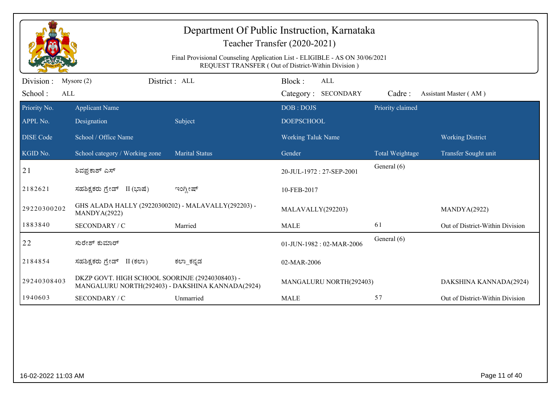|                              | Department Of Public Instruction, Karnataka<br>Teacher Transfer (2020-2021)<br>Final Provisional Counseling Application List - ELIGIBLE - AS ON 30/06/2021<br>REQUEST TRANSFER (Out of District-Within Division) |                       |                                      |                        |                                 |  |  |  |  |
|------------------------------|------------------------------------------------------------------------------------------------------------------------------------------------------------------------------------------------------------------|-----------------------|--------------------------------------|------------------------|---------------------------------|--|--|--|--|
| Division :<br>School:<br>ALL | Mysore $(2)$                                                                                                                                                                                                     | District: ALL         | Block:<br>ALL<br>Category: SECONDARY | Cadre:                 | Assistant Master (AM)           |  |  |  |  |
| Priority No.<br>APPL No.     | <b>Applicant Name</b><br>Designation                                                                                                                                                                             | Subject               | DOB: DOJS<br><b>DOEPSCHOOL</b>       | Priority claimed       |                                 |  |  |  |  |
| <b>DISE</b> Code             | School / Office Name                                                                                                                                                                                             |                       | <b>Working Taluk Name</b>            |                        | <b>Working District</b>         |  |  |  |  |
| KGID No.                     | School category / Working zone                                                                                                                                                                                   | <b>Marital Status</b> | Gender                               | <b>Total Weightage</b> | Transfer Sought unit            |  |  |  |  |
| 21                           | ಶಿವಪ್ರಕಾಶ್ ಎಸ್                                                                                                                                                                                                   |                       | 20-JUL-1972: 27-SEP-2001             | General (6)            |                                 |  |  |  |  |
| 2182621                      | ಸಹಶಿಕ್ಷಕರು ಗ್ರೇಡ್ II (ಭಾಷೆ)                                                                                                                                                                                      | ಇಂಗ್ಲೀಷ್              | 10-FEB-2017                          |                        |                                 |  |  |  |  |
| 29220300202                  | GHS ALADA HALLY (29220300202) - MALAVALLY(292203) -<br>MANDYA(2922)                                                                                                                                              |                       | MALAVALLY(292203)                    |                        | MANDYA(2922)                    |  |  |  |  |
| 1883840                      | SECONDARY / C                                                                                                                                                                                                    | Married               | <b>MALE</b>                          | 61                     | Out of District-Within Division |  |  |  |  |
| 22                           | ಸುರೇಶ್ ಕುಮಾರ್                                                                                                                                                                                                    |                       | 01-JUN-1982: 02-MAR-2006             | General (6)            |                                 |  |  |  |  |
| 2184854                      | ಸಹಶಿಕ್ಷಕರು ಗ್ರೇಡ್ II (ಕಲಾ)                                                                                                                                                                                       | ಕಲ್_ಕನ್ನಡ             | 02-MAR-2006                          |                        |                                 |  |  |  |  |
| 29240308403                  | DKZP GOVT. HIGH SCHOOL SOORINJE (29240308403) -<br>MANGALURU NORTH(292403) - DAKSHINA KANNADA(2924)                                                                                                              |                       | MANGALURU NORTH(292403)              |                        | DAKSHINA KANNADA(2924)          |  |  |  |  |
| 1940603                      | SECONDARY / C                                                                                                                                                                                                    | Unmarried             | <b>MALE</b>                          | 57                     | Out of District-Within Division |  |  |  |  |
|                              |                                                                                                                                                                                                                  |                       |                                      |                        |                                 |  |  |  |  |
| 16-02-2022 11:03 AM          |                                                                                                                                                                                                                  |                       |                                      |                        | Page 11 of 40                   |  |  |  |  |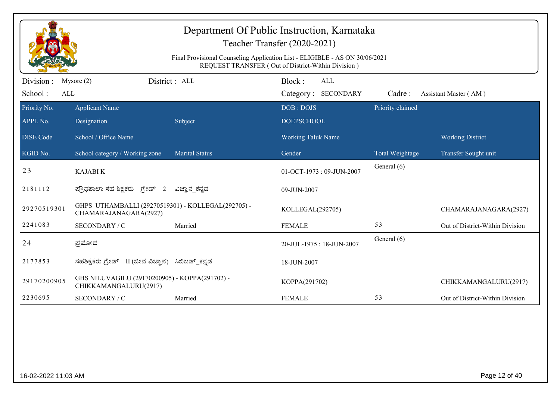|                              | Department Of Public Instruction, Karnataka<br>Teacher Transfer (2020-2021)<br>Final Provisional Counseling Application List - ELIGIBLE - AS ON 30/06/2021<br>REQUEST TRANSFER (Out of District-Within Division) |                       |                                                |                  |                                 |  |  |  |  |
|------------------------------|------------------------------------------------------------------------------------------------------------------------------------------------------------------------------------------------------------------|-----------------------|------------------------------------------------|------------------|---------------------------------|--|--|--|--|
| Division :<br>School:<br>ALL | Mysore $(2)$                                                                                                                                                                                                     | District : ALL        | Block:<br>ALL<br>Category: SECONDARY           | Cadre:           | Assistant Master (AM)           |  |  |  |  |
| Priority No.                 | <b>Applicant Name</b>                                                                                                                                                                                            |                       | DOB: DOJS                                      | Priority claimed |                                 |  |  |  |  |
| APPL No.<br><b>DISE</b> Code | Designation<br>School / Office Name                                                                                                                                                                              | Subject               | <b>DOEPSCHOOL</b><br><b>Working Taluk Name</b> |                  | <b>Working District</b>         |  |  |  |  |
| KGID No.                     | School category / Working zone                                                                                                                                                                                   | <b>Marital Status</b> | Gender                                         | Total Weightage  | Transfer Sought unit            |  |  |  |  |
| 23                           | <b>KAJABI K</b>                                                                                                                                                                                                  |                       | 01-OCT-1973: 09-JUN-2007                       | General (6)      |                                 |  |  |  |  |
| 2181112                      | ಪ್ರೌಢಶಾಲಾ ಸಹ ಶಿಕ್ಷಕರು ಗ್ರೇಡ್ 2                                                                                                                                                                                   | ವಿಜ್ಞಾನ_ಕನ್ನಡ         | 09-JUN-2007                                    |                  |                                 |  |  |  |  |
| 29270519301                  | GHPS UTHAMBALLI (29270519301) - KOLLEGAL(292705) -<br>CHAMARAJANAGARA(2927)                                                                                                                                      |                       | KOLLEGAL(292705)                               |                  | CHAMARAJANAGARA(2927)           |  |  |  |  |
| 2241083                      | SECONDARY / C                                                                                                                                                                                                    | Married               | <b>FEMALE</b>                                  | 53               | Out of District-Within Division |  |  |  |  |
| 24                           | ಪ್ರಮೋದ                                                                                                                                                                                                           |                       | 20-JUL-1975: 18-JUN-2007                       | General (6)      |                                 |  |  |  |  |
| 2177853                      | ಸಹಶಿಕ್ಷಕರು ಗ್ರೇಡ್ II (ಜೀವ ವಿಜ್ಞಾನ)                                                                                                                                                                               | ಸಿಬಿಜಡ್ ಕನ್ನಡ         | 18-JUN-2007                                    |                  |                                 |  |  |  |  |
| 29170200905                  | GHS NILUVAGILU (29170200905) - KOPPA(291702) -<br>CHIKKAMANGALURU(2917)                                                                                                                                          |                       | KOPPA(291702)                                  |                  | CHIKKAMANGALURU(2917)           |  |  |  |  |
| 2230695                      | SECONDARY / C                                                                                                                                                                                                    | Married               | <b>FEMALE</b>                                  | 53               | Out of District-Within Division |  |  |  |  |
|                              |                                                                                                                                                                                                                  |                       |                                                |                  |                                 |  |  |  |  |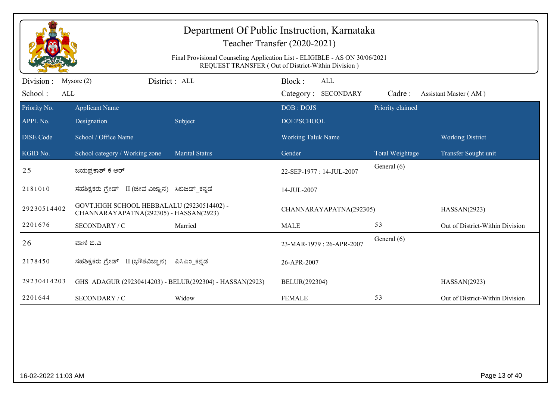|                       | Department Of Public Instruction, Karnataka<br>Teacher Transfer (2020-2021)                                                       |                       |                           |                  |                                 |  |  |  |
|-----------------------|-----------------------------------------------------------------------------------------------------------------------------------|-----------------------|---------------------------|------------------|---------------------------------|--|--|--|
|                       | Final Provisional Counseling Application List - ELIGIBLE - AS ON 30/06/2021<br>REQUEST TRANSFER (Out of District-Within Division) |                       |                           |                  |                                 |  |  |  |
| Division:             | District: ALL<br>Mysore $(2)$                                                                                                     |                       | Block:<br><b>ALL</b>      |                  |                                 |  |  |  |
| School:<br><b>ALL</b> |                                                                                                                                   |                       | Category: SECONDARY       | Cadre:           | Assistant Master (AM)           |  |  |  |
| Priority No.          | <b>Applicant Name</b>                                                                                                             |                       | DOB: DOJS                 | Priority claimed |                                 |  |  |  |
| APPL No.              | Designation                                                                                                                       | Subject               | <b>DOEPSCHOOL</b>         |                  |                                 |  |  |  |
| <b>DISE Code</b>      | School / Office Name                                                                                                              |                       | <b>Working Taluk Name</b> |                  | <b>Working District</b>         |  |  |  |
| KGID No.              | School category / Working zone                                                                                                    | <b>Marital Status</b> | Gender                    | Total Weightage  | Transfer Sought unit            |  |  |  |
| 25                    | ಜಯಪ್ರಕಾಶ್ ಕೆ ಆರ್                                                                                                                  |                       | 22-SEP-1977: 14-JUL-2007  | General (6)      |                                 |  |  |  |
| 2181010               | ಸಹಶಿಕ್ಷಕರು ಗ್ರೇಡ್ II (ಜೀವ ವಿಜ್ಞಾನ) ಸಿಬಿಜಡ್_ಕನ್ನಡ                                                                                  |                       | 14-JUL-2007               |                  |                                 |  |  |  |
| 29230514402           | GOVT.HIGH SCHOOL HEBBALALU (29230514402) -<br>CHANNARAYAPATNA(292305) - HASSAN(2923)                                              |                       | CHANNARAYAPATNA(292305)   |                  | HASSAN(2923)                    |  |  |  |
| 2201676               | SECONDARY / C                                                                                                                     | Married               | <b>MALE</b>               | 53               | Out of District-Within Division |  |  |  |
| 26                    | ವಾಣಿ ಬಿ.ವಿ                                                                                                                        |                       | 23-MAR-1979 : 26-APR-2007 | General (6)      |                                 |  |  |  |
| 2178450               | ಸಹಶಿಕ್ಷಕರು ಗ್ರೇಡ್   II (ಭೌತವಿಜ್ಞಾನ)                                                                                               | ಪಿಸಿಎಂ ಕನ್ನಡ          | 26-APR-2007               |                  |                                 |  |  |  |
| 29230414203           | GHS ADAGUR (29230414203) - BELUR(292304) - HASSAN(2923)                                                                           |                       | BELUR(292304)             |                  | HASSAN(2923)                    |  |  |  |
| 2201644               | SECONDARY / C                                                                                                                     | Widow                 | <b>FEMALE</b>             | 53               | Out of District-Within Division |  |  |  |

16-02-2022 11:03 AM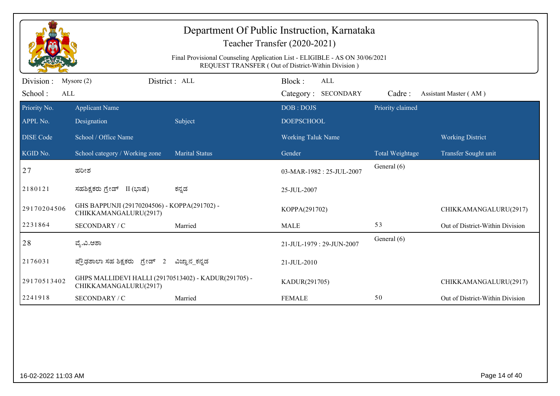|                              | Department Of Public Instruction, Karnataka<br>Teacher Transfer (2020-2021)<br>Final Provisional Counseling Application List - ELIGIBLE - AS ON 30/06/2021<br>REQUEST TRANSFER (Out of District-Within Division) |                       |                                      |                  |                                 |  |  |  |
|------------------------------|------------------------------------------------------------------------------------------------------------------------------------------------------------------------------------------------------------------|-----------------------|--------------------------------------|------------------|---------------------------------|--|--|--|
| Division :<br>School:<br>ALL | Mysore $(2)$                                                                                                                                                                                                     | District: ALL         | Block:<br>ALL<br>Category: SECONDARY | Cadre:           | Assistant Master (AM)           |  |  |  |
| Priority No.<br>APPL No.     | <b>Applicant Name</b><br>Designation                                                                                                                                                                             | Subject               | DOB: DOJS<br><b>DOEPSCHOOL</b>       | Priority claimed |                                 |  |  |  |
| <b>DISE Code</b>             | School / Office Name                                                                                                                                                                                             |                       | <b>Working Taluk Name</b>            |                  | <b>Working District</b>         |  |  |  |
| KGID No.                     | School category / Working zone                                                                                                                                                                                   | <b>Marital Status</b> | Gender                               | Total Weightage  | Transfer Sought unit            |  |  |  |
| 27                           | ಹರೀಶ                                                                                                                                                                                                             |                       | 03-MAR-1982: 25-JUL-2007             | General (6)      |                                 |  |  |  |
| 2180121                      | ಸಹಶಿಕ್ಷಕರು ಗ್ರೇಡ್ II (ಭಾಷೆ)                                                                                                                                                                                      | ಕನ್ನಡ                 | 25-JUL-2007                          |                  |                                 |  |  |  |
| 29170204506                  | GHS BAPPUNJI (29170204506) - KOPPA(291702) -<br>CHIKKAMANGALURU(2917)                                                                                                                                            |                       | KOPPA(291702)                        |                  | CHIKKAMANGALURU(2917)           |  |  |  |
| 2231864                      | SECONDARY / C                                                                                                                                                                                                    | Married               | <b>MALE</b>                          | 53               | Out of District-Within Division |  |  |  |
| 28                           | ವ್ಯೆ.ವಿ.ಆಶಾ                                                                                                                                                                                                      |                       | 21-JUL-1979: 29-JUN-2007             | General (6)      |                                 |  |  |  |
| 2176031                      | ಪ್ರೌಢಶಾಲಾ ಸಹ ಶಿಕ್ಷಕರು ಗ್ರೇಡ್ 2                                                                                                                                                                                   | ವಿಜ್ಞಾನ_ಕನ್ನಡ         | 21-JUL-2010                          |                  |                                 |  |  |  |
| 29170513402                  | GHPS MALLIDEVI HALLI (29170513402) - KADUR(291705) -<br>CHIKKAMANGALURU(2917)                                                                                                                                    |                       | KADUR(291705)                        |                  | CHIKKAMANGALURU(2917)           |  |  |  |
| 2241918                      | SECONDARY / C                                                                                                                                                                                                    | Married               | <b>FEMALE</b>                        | 50               | Out of District-Within Division |  |  |  |
|                              |                                                                                                                                                                                                                  |                       |                                      |                  |                                 |  |  |  |
| 16-02-2022 11:03 AM          |                                                                                                                                                                                                                  |                       |                                      |                  | Page 14 of 40                   |  |  |  |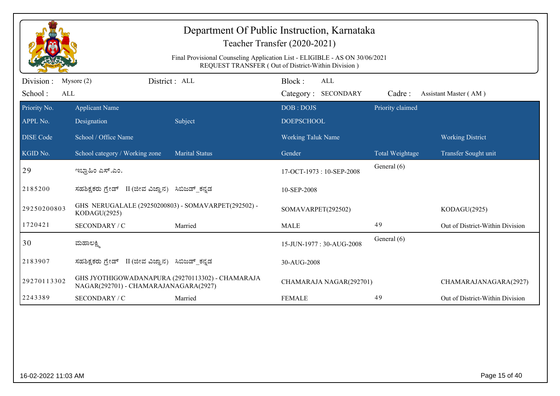|                              |                                                                                           | Final Provisional Counseling Application List - ELIGIBLE - AS ON 30/06/2021 | Department Of Public Instruction, Karnataka<br>Teacher Transfer (2020-2021)                |                  |                                 |
|------------------------------|-------------------------------------------------------------------------------------------|-----------------------------------------------------------------------------|--------------------------------------------------------------------------------------------|------------------|---------------------------------|
| Division :<br>School:<br>ALL | District : ALL<br>Mysore $(2)$                                                            |                                                                             | REQUEST TRANSFER (Out of District-Within Division)<br>Block:<br>ALL<br>Category: SECONDARY | Cadre:           | Assistant Master (AM)           |
| Priority No.<br>APPL No.     | <b>Applicant Name</b><br>Designation                                                      | Subject                                                                     | DOB: DOJS<br><b>DOEPSCHOOL</b>                                                             | Priority claimed |                                 |
| <b>DISE</b> Code             | School / Office Name                                                                      |                                                                             | <b>Working Taluk Name</b>                                                                  |                  | <b>Working District</b>         |
| KGID No.                     | School category / Working zone                                                            | <b>Marital Status</b>                                                       | Gender                                                                                     | Total Weightage  | Transfer Sought unit            |
| 29                           | ಇಭ್ರಾಹಿಂ ಎಸ್.ಎಂ.                                                                          |                                                                             | 17-OCT-1973: 10-SEP-2008                                                                   | General (6)      |                                 |
| 2185200                      | ಸಹಶಿಕ್ಷಕರು ಗ್ರೇಡ್ II (ಜೀವ ವಿಜ್ಞಾನ) ಸಿಬಿಜಡ್ ಕನ್ನಡ                                          |                                                                             | 10-SEP-2008                                                                                |                  |                                 |
| 29250200803                  | GHS NERUGALALE (29250200803) - SOMAVARPET(292502) -<br>KODAGU(2925)                       |                                                                             | SOMAVARPET(292502)                                                                         |                  | KODAGU(2925)                    |
| 1720421                      | SECONDARY / C                                                                             | Married                                                                     | <b>MALE</b>                                                                                | 49               | Out of District-Within Division |
| 30                           | ಮಹಾಲಕ್ಷ್ಮಿ                                                                                |                                                                             | 15-JUN-1977: 30-AUG-2008                                                                   | General (6)      |                                 |
| 2183907                      | ಸಹಶಿಕ್ಷಕರು ಗ್ರೇಡ್ II (ಜೀವ ವಿಜ್ಞಾನ) ಸಿಬಿಜಡ್_ಕನ್ನಡ                                          |                                                                             | 30-AUG-2008                                                                                |                  |                                 |
| 29270113302                  | GHS JYOTHIGOWADANAPURA (29270113302) - CHAMARAJA<br>NAGAR(292701) - CHAMARAJANAGARA(2927) |                                                                             | CHAMARAJA NAGAR(292701)                                                                    |                  | CHAMARAJANAGARA(2927)           |
| 2243389                      | SECONDARY / C                                                                             | Married                                                                     | <b>FEMALE</b>                                                                              | 49               | Out of District-Within Division |
|                              |                                                                                           |                                                                             |                                                                                            |                  |                                 |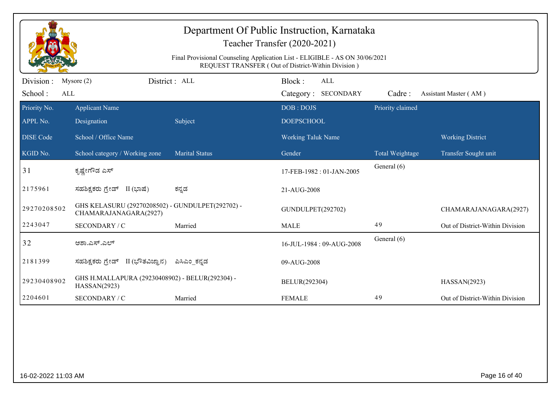|                          | Department Of Public Instruction, Karnataka<br>Teacher Transfer (2020-2021)<br>Final Provisional Counseling Application List - ELIGIBLE - AS ON 30/06/2021<br>REQUEST TRANSFER (Out of District-Within Division) |                       |                                |                  |                                 |  |  |  |
|--------------------------|------------------------------------------------------------------------------------------------------------------------------------------------------------------------------------------------------------------|-----------------------|--------------------------------|------------------|---------------------------------|--|--|--|
| Division :               | Mysore $(2)$                                                                                                                                                                                                     | District: ALL         | Block:<br>ALL                  |                  |                                 |  |  |  |
| School:<br>ALL           |                                                                                                                                                                                                                  |                       | Category: SECONDARY            | Cadre:           | Assistant Master (AM)           |  |  |  |
| Priority No.<br>APPL No. | <b>Applicant Name</b><br>Designation                                                                                                                                                                             | Subject               | DOB: DOJS<br><b>DOEPSCHOOL</b> | Priority claimed |                                 |  |  |  |
| <b>DISE Code</b>         | School / Office Name                                                                                                                                                                                             |                       | <b>Working Taluk Name</b>      |                  | <b>Working District</b>         |  |  |  |
| KGID No.                 | School category / Working zone                                                                                                                                                                                   | <b>Marital Status</b> | Gender                         | Total Weightage  | Transfer Sought unit            |  |  |  |
| 31                       | ಕೃಷ್ಣೇಗೌಡ ಎಸ್                                                                                                                                                                                                    |                       | 17-FEB-1982: 01-JAN-2005       | General (6)      |                                 |  |  |  |
| 2175961                  | ಸಹಶಿಕ್ಷಕರು ಗ್ರೇಡ್ II (ಭಾಷೆ)                                                                                                                                                                                      | ಕನ್ನಡ                 | 21-AUG-2008                    |                  |                                 |  |  |  |
| 29270208502              | GHS KELASURU (29270208502) - GUNDULPET(292702) -<br>CHAMARAJANAGARA(2927)                                                                                                                                        |                       | GUNDULPET(292702)              |                  | CHAMARAJANAGARA(2927)           |  |  |  |
| 2243047                  | SECONDARY / C                                                                                                                                                                                                    | Married               | <b>MALE</b>                    | 49               | Out of District-Within Division |  |  |  |
| 32                       | ಆಶಾ.ಎಸ್.ಎಲ್                                                                                                                                                                                                      |                       | 16-JUL-1984: 09-AUG-2008       | General (6)      |                                 |  |  |  |
| 2181399                  | ಸಹಶಿಕ್ಷಕರು ಗ್ರೇಡ್ II (ಭೌತವಿಜ್ಞಾನ)                                                                                                                                                                                | ಪಿಸಿಎಂ_ಕನ್ನಡ          | 09-AUG-2008                    |                  |                                 |  |  |  |
| 29230408902              | GHS H.MALLAPURA (29230408902) - BELUR(292304) -<br>HASSAN(2923)                                                                                                                                                  |                       | BELUR(292304)                  |                  | HASSAN(2923)                    |  |  |  |
| 2204601                  | <b>SECONDARY / C</b>                                                                                                                                                                                             | Married               | <b>FEMALE</b>                  | 49               | Out of District-Within Division |  |  |  |
|                          |                                                                                                                                                                                                                  |                       |                                |                  |                                 |  |  |  |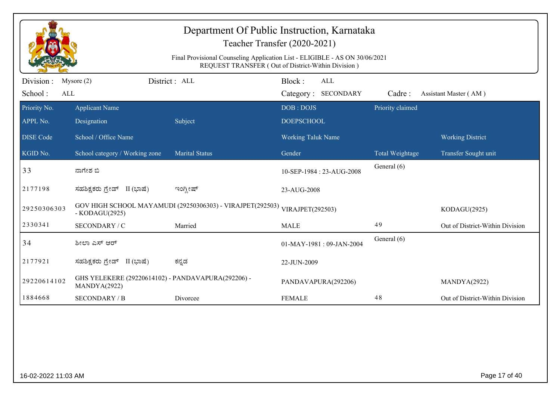|                              | Department Of Public Instruction, Karnataka<br>Teacher Transfer (2020-2021)<br>Final Provisional Counseling Application List - ELIGIBLE - AS ON 30/06/2021<br>REQUEST TRANSFER (Out of District-Within Division) |                                                           |                                             |                  |                                 |  |  |  |
|------------------------------|------------------------------------------------------------------------------------------------------------------------------------------------------------------------------------------------------------------|-----------------------------------------------------------|---------------------------------------------|------------------|---------------------------------|--|--|--|
| Division :<br>School:<br>ALL | Mysore $(2)$                                                                                                                                                                                                     | District : ALL                                            | Block:<br><b>ALL</b><br>Category: SECONDARY | Cadre:           | Assistant Master (AM)           |  |  |  |
| Priority No.<br>APPL No.     | <b>Applicant Name</b><br>Designation                                                                                                                                                                             | Subject                                                   | DOB: DOJS<br><b>DOEPSCHOOL</b>              | Priority claimed |                                 |  |  |  |
| <b>DISE Code</b>             | School / Office Name                                                                                                                                                                                             |                                                           | Working Taluk Name                          |                  | <b>Working District</b>         |  |  |  |
| KGID No.                     | School category / Working zone                                                                                                                                                                                   | <b>Marital Status</b>                                     | Gender                                      | Total Weightage  | Transfer Sought unit            |  |  |  |
| 33                           | ನಾಗೇಶ ಬಿ                                                                                                                                                                                                         |                                                           | 10-SEP-1984 : 23-AUG-2008                   | General (6)      |                                 |  |  |  |
| 2177198                      | ಸಹಶಿಕ್ಷಕರು ಗ್ರೇಡ್ II (ಭಾಷೆ)                                                                                                                                                                                      | ಇಂಗ್ಲೀಷ್                                                  | 23-AUG-2008                                 |                  |                                 |  |  |  |
| 29250306303                  | $-KODAGU(2925)$                                                                                                                                                                                                  | GOV HIGH SCHOOL MAYAMUDI (29250306303) - VIRAJPET(292503) | VIRAJPET(292503)                            |                  | KODAGU(2925)                    |  |  |  |
| 2330341                      | SECONDARY / C                                                                                                                                                                                                    | Married                                                   | <b>MALE</b>                                 | 49               | Out of District-Within Division |  |  |  |
| 34                           | ಶೀಲಾ ಎಸ್ ಆರ್                                                                                                                                                                                                     |                                                           | 01-MAY-1981: 09-JAN-2004                    | General (6)      |                                 |  |  |  |
| 2177921                      | ಸಹಶಿಕ್ಷಕರು ಗ್ರೇಡ್ II (ಭಾಷೆ)                                                                                                                                                                                      | ಕನ್ನಡ                                                     | 22-JUN-2009                                 |                  |                                 |  |  |  |
| 29220614102                  | GHS YELEKERE (29220614102) - PANDAVAPURA(292206) -<br>MANDYA(2922)                                                                                                                                               |                                                           | PANDAVAPURA(292206)                         |                  | MANDYA(2922)                    |  |  |  |
| 1884668                      | <b>SECONDARY / B</b>                                                                                                                                                                                             | Divorcee                                                  | <b>FEMALE</b>                               | 48               | Out of District-Within Division |  |  |  |
|                              |                                                                                                                                                                                                                  |                                                           |                                             |                  |                                 |  |  |  |
| 16-02-2022 11:03 AM          |                                                                                                                                                                                                                  |                                                           |                                             |                  | Page 17 of 40                   |  |  |  |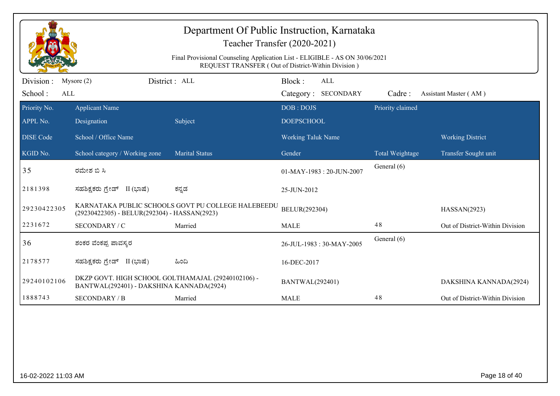|                             | Department Of Public Instruction, Karnataka<br>Teacher Transfer (2020-2021)<br>Final Provisional Counseling Application List - ELIGIBLE - AS ON 30/06/2021<br>REQUEST TRANSFER (Out of District-Within Division) |                                                    |                                             |  |                  |                                 |  |  |
|-----------------------------|------------------------------------------------------------------------------------------------------------------------------------------------------------------------------------------------------------------|----------------------------------------------------|---------------------------------------------|--|------------------|---------------------------------|--|--|
| Division:<br>School:<br>ALL | Mysore $(2)$                                                                                                                                                                                                     | District: ALL                                      | Block:<br><b>ALL</b><br>Category: SECONDARY |  | Cadre:           | Assistant Master (AM)           |  |  |
| Priority No.<br>APPL No.    | <b>Applicant Name</b><br>Designation                                                                                                                                                                             | Subject                                            | DOB: DOJS<br><b>DOEPSCHOOL</b>              |  | Priority claimed |                                 |  |  |
| <b>DISE</b> Code            | School / Office Name                                                                                                                                                                                             |                                                    | <b>Working Taluk Name</b>                   |  |                  | <b>Working District</b>         |  |  |
| KGID No.                    | School category / Working zone                                                                                                                                                                                   | <b>Marital Status</b>                              | Gender                                      |  | Total Weightage  | Transfer Sought unit            |  |  |
| 35                          | ರಮೇಶ ಬಿ ಸಿ                                                                                                                                                                                                       |                                                    | 01-MAY-1983: 20-JUN-2007                    |  | General (6)      |                                 |  |  |
| 2181398                     | ಸಹಶಿಕ್ಷಕರು ಗ್ರೇಡ್ II (ಭಾಷೆ)                                                                                                                                                                                      | ಕನ್ನಡ                                              | 25-JUN-2012                                 |  |                  |                                 |  |  |
| 29230422305                 | (29230422305) - BELUR(292304) - HASSAN(2923)                                                                                                                                                                     | KARNATAKA PUBLIC SCHOOLS GOVT PU COLLEGE HALEBEEDU | BELUR(292304)                               |  |                  | HASSAN(2923)                    |  |  |
| 2231672                     | SECONDARY / C                                                                                                                                                                                                    | Married                                            | <b>MALE</b>                                 |  | 48               | Out of District-Within Division |  |  |
| 36                          | ಶಂಕರ ವೆಂಕಪ್ಪ ಪಾವಸ್ತರ                                                                                                                                                                                             |                                                    | 26-JUL-1983: 30-MAY-2005                    |  | General (6)      |                                 |  |  |
| 2178577                     | ಸಹಶಿಕ್ಷಕರು ಗ್ರೇಡ್ II (ಭಾಷೆ)                                                                                                                                                                                      | ಹಿಂದಿ                                              | 16-DEC-2017                                 |  |                  |                                 |  |  |
| 29240102106                 | DKZP GOVT. HIGH SCHOOL GOLTHAMAJAL (29240102106) -<br>BANTWAL(292401) - DAKSHINA KANNADA(2924)                                                                                                                   |                                                    | <b>BANTWAL(292401)</b>                      |  |                  | DAKSHINA KANNADA(2924)          |  |  |
| 1888743                     | <b>SECONDARY / B</b>                                                                                                                                                                                             | Married                                            | <b>MALE</b>                                 |  | 48               | Out of District-Within Division |  |  |
|                             |                                                                                                                                                                                                                  |                                                    |                                             |  |                  |                                 |  |  |
| 16-02-2022 11:03 AM         |                                                                                                                                                                                                                  |                                                    |                                             |  |                  | Page 18 of 40                   |  |  |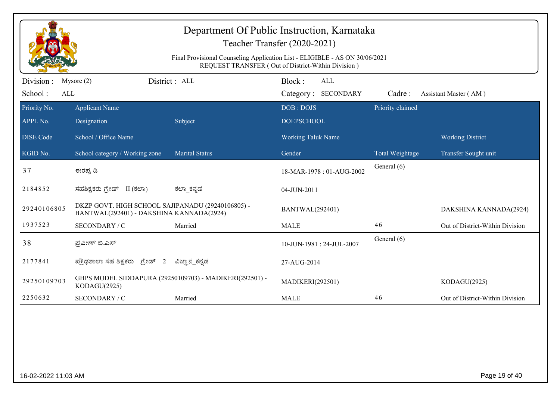|                             | Department Of Public Instruction, Karnataka<br>Teacher Transfer (2020-2021)<br>Final Provisional Counseling Application List - ELIGIBLE - AS ON 30/06/2021<br>REQUEST TRANSFER (Out of District-Within Division) |                                                         |                                             |                  |                                 |  |  |  |
|-----------------------------|------------------------------------------------------------------------------------------------------------------------------------------------------------------------------------------------------------------|---------------------------------------------------------|---------------------------------------------|------------------|---------------------------------|--|--|--|
| Division:<br>School:<br>ALL | Mysore $(2)$                                                                                                                                                                                                     | District: ALL                                           | Block:<br><b>ALL</b><br>Category: SECONDARY | Cadre:           | Assistant Master (AM)           |  |  |  |
| Priority No.<br>APPL No.    | <b>Applicant Name</b><br>Designation                                                                                                                                                                             | Subject                                                 | DOB: DOJS<br><b>DOEPSCHOOL</b>              | Priority claimed |                                 |  |  |  |
| <b>DISE</b> Code            | School / Office Name                                                                                                                                                                                             |                                                         | <b>Working Taluk Name</b>                   |                  | <b>Working District</b>         |  |  |  |
| KGID No.                    | School category / Working zone                                                                                                                                                                                   | <b>Marital Status</b>                                   | Gender                                      | Total Weightage  | Transfer Sought unit            |  |  |  |
| 37                          | ಈರಪ್ಪ ಡಿ                                                                                                                                                                                                         |                                                         | 18-MAR-1978: 01-AUG-2002                    | General (6)      |                                 |  |  |  |
| 2184852                     | ಸಹಶಿಕ್ಷಕರು ಗ್ರೇಡ್ II (ಕಲಾ)                                                                                                                                                                                       | ಕಲ್_ಕನ್ನಡ                                               | 04-JUN-2011                                 |                  |                                 |  |  |  |
| 29240106805                 | DKZP GOVT. HIGH SCHOOL SAJIPANADU (29240106805) -<br>BANTWAL(292401) - DAKSHINA KANNADA(2924)                                                                                                                    |                                                         | <b>BANTWAL(292401)</b>                      |                  | DAKSHINA KANNADA(2924)          |  |  |  |
| 1937523                     | SECONDARY / C                                                                                                                                                                                                    | Married                                                 | <b>MALE</b>                                 | 46               | Out of District-Within Division |  |  |  |
| 38                          | ಪ್ರವೀಣ್ ಬಿ.ಎಸ್                                                                                                                                                                                                   |                                                         | 10-JUN-1981: 24-JUL-2007                    | General (6)      |                                 |  |  |  |
| 2177841                     | ಪ್ರೌಢಶಾಲಾ ಸಹ ಶಿಕ್ಷಕರು ಗ್ರೇಡ್ 2                                                                                                                                                                                   | ವಿಜ್ಞಾನ_ಕನ್ನಡ                                           | 27-AUG-2014                                 |                  |                                 |  |  |  |
| 29250109703                 | KODAGU(2925)                                                                                                                                                                                                     | GHPS MODEL SIDDAPURA (29250109703) - MADIKERI(292501) - | <b>MADIKERI(292501)</b>                     |                  | KODAGU(2925)                    |  |  |  |
| 2250632                     | SECONDARY / C                                                                                                                                                                                                    | Married                                                 | <b>MALE</b>                                 | 46               | Out of District-Within Division |  |  |  |
|                             |                                                                                                                                                                                                                  |                                                         |                                             |                  |                                 |  |  |  |
| 16-02-2022 11:03 AM         |                                                                                                                                                                                                                  |                                                         |                                             |                  | Page 19 of 40                   |  |  |  |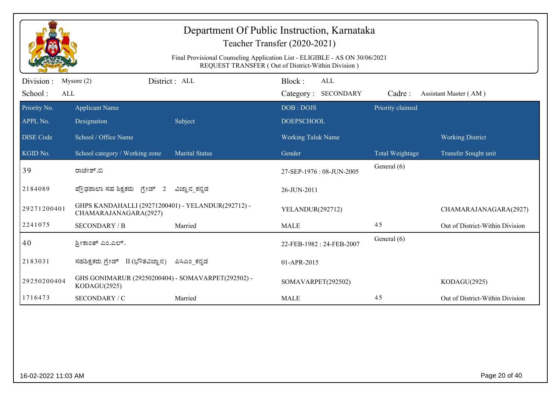|                              | Department Of Public Instruction, Karnataka<br>Teacher Transfer (2020-2021)<br>Final Provisional Counseling Application List - ELIGIBLE - AS ON 30/06/2021<br>REQUEST TRANSFER (Out of District-Within Division) |                       |                                      |                  |                                 |  |  |  |
|------------------------------|------------------------------------------------------------------------------------------------------------------------------------------------------------------------------------------------------------------|-----------------------|--------------------------------------|------------------|---------------------------------|--|--|--|
| Division :<br>School:<br>ALL | Mysore $(2)$                                                                                                                                                                                                     | District : ALL        | Block:<br>ALL<br>Category: SECONDARY | Cadre:           | Assistant Master (AM)           |  |  |  |
| Priority No.<br>APPL No.     | <b>Applicant Name</b><br>Designation                                                                                                                                                                             | Subject               | DOB: DOJS<br><b>DOEPSCHOOL</b>       | Priority claimed |                                 |  |  |  |
| <b>DISE Code</b>             | School / Office Name                                                                                                                                                                                             |                       | <b>Working Taluk Name</b>            |                  | <b>Working District</b>         |  |  |  |
| KGID No.                     | School category / Working zone                                                                                                                                                                                   | <b>Marital Status</b> | Gender                               | Total Weightage  | Transfer Sought unit            |  |  |  |
| 39                           | ರಾಜೇಶ್.ಬಿ                                                                                                                                                                                                        |                       | 27-SEP-1976: 08-JUN-2005             | General (6)      |                                 |  |  |  |
| 2184089                      | ಪ್ರೌಢಶಾಲಾ ಸಹ ಶಿಕ್ಷಕರು ಗ್ರೇಡ್ 2                                                                                                                                                                                   | ವಿಜ್ಞಾನ_ಕನ್ನಡ         | 26-JUN-2011                          |                  |                                 |  |  |  |
| 29271200401                  | GHPS KANDAHALLI (29271200401) - YELANDUR(292712) -<br>CHAMARAJANAGARA(2927)                                                                                                                                      |                       | YELANDUR(292712)                     |                  | CHAMARAJANAGARA(2927)           |  |  |  |
| 2241075                      | <b>SECONDARY / B</b>                                                                                                                                                                                             | Married               | <b>MALE</b>                          | 45               | Out of District-Within Division |  |  |  |
| 40                           | ಶ್ರೀಕಾಂತ್ ಎಂ.ಎಲ್.                                                                                                                                                                                                |                       | 22-FEB-1982: 24-FEB-2007             | General (6)      |                                 |  |  |  |
| 2183031                      | ಸಹಶಿಕ್ಷಕರು ಗ್ರೇಡ್ II (ಭೌತವಿಜ್ಞಾನ)                                                                                                                                                                                | ಪಿಸಿಎಂ ಕನ್ನಡ          | 01-APR-2015                          |                  |                                 |  |  |  |
| 29250200404                  | GHS GONIMARUR (29250200404) - SOMAVARPET(292502) -<br>KODAGU(2925)                                                                                                                                               |                       | SOMAVARPET(292502)                   |                  | KODAGU(2925)                    |  |  |  |
| 1716473                      | SECONDARY / C                                                                                                                                                                                                    | Married               | <b>MALE</b>                          | 45               | Out of District-Within Division |  |  |  |
|                              |                                                                                                                                                                                                                  |                       |                                      |                  |                                 |  |  |  |
| 16-02-2022 11:03 AM          |                                                                                                                                                                                                                  |                       |                                      |                  | Page 20 of 40                   |  |  |  |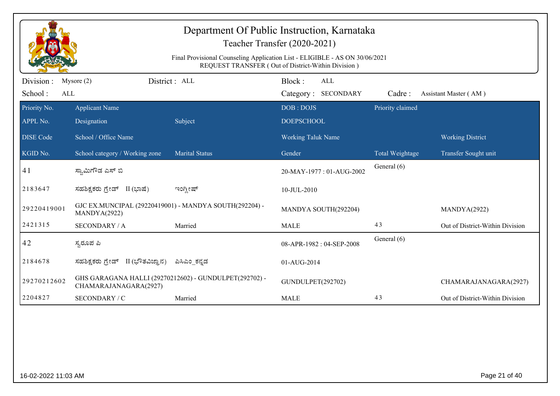|                              | Department Of Public Instruction, Karnataka<br>Teacher Transfer (2020-2021)<br>Final Provisional Counseling Application List - ELIGIBLE - AS ON 30/06/2021<br>REQUEST TRANSFER (Out of District-Within Division) |                                                        |                                      |                  |                                 |  |  |  |
|------------------------------|------------------------------------------------------------------------------------------------------------------------------------------------------------------------------------------------------------------|--------------------------------------------------------|--------------------------------------|------------------|---------------------------------|--|--|--|
| Division :<br>School:<br>ALL | Mysore $(2)$                                                                                                                                                                                                     | District: ALL                                          | Block:<br>ALL<br>Category: SECONDARY | Cadre:           | Assistant Master (AM)           |  |  |  |
| Priority No.<br>APPL No.     | <b>Applicant Name</b><br>Designation                                                                                                                                                                             | Subject                                                | DOB: DOJS<br><b>DOEPSCHOOL</b>       | Priority claimed |                                 |  |  |  |
| <b>DISE Code</b>             | School / Office Name                                                                                                                                                                                             |                                                        | <b>Working Taluk Name</b>            |                  | <b>Working District</b>         |  |  |  |
| KGID No.                     | School category / Working zone                                                                                                                                                                                   | <b>Marital Status</b>                                  | Gender                               | Total Weightage  | Transfer Sought unit            |  |  |  |
| 41                           | ಸ್ವಾಮಿಗೌಡ ಎಸ್ ಬಿ                                                                                                                                                                                                 |                                                        | 20-MAY-1977: 01-AUG-2002             | General (6)      |                                 |  |  |  |
| 2183647                      | ಸಹಶಿಕ್ಷಕರು ಗ್ರೇಡ್ II (ಭಾಷೆ)                                                                                                                                                                                      | ಇಂಗ್ಲೀಷ್                                               | 10-JUL-2010                          |                  |                                 |  |  |  |
| 29220419001                  | GJC EX.MUNCIPAL (29220419001) - MANDYA SOUTH(292204) -<br>MANDYA(2922)                                                                                                                                           |                                                        | MANDYA SOUTH(292204)                 |                  | MANDYA(2922)                    |  |  |  |
| 2421315                      | <b>SECONDARY / A</b>                                                                                                                                                                                             | Married                                                | <b>MALE</b>                          | 43               | Out of District-Within Division |  |  |  |
| 42                           | ಸ್ಯರೂಪ ಪಿ                                                                                                                                                                                                        |                                                        | 08-APR-1982: 04-SEP-2008             | General (6)      |                                 |  |  |  |
| 2184678                      | ಸಹಶಿಕ್ಷಕರು ಗ್ರೇಡ್ II (ಭೌತವಿಜ್ಞಾನ)                                                                                                                                                                                | ಪಿಸಿಎಂ_ಕನ್ನಡ                                           | 01-AUG-2014                          |                  |                                 |  |  |  |
| 29270212602                  | CHAMARAJANAGARA(2927)                                                                                                                                                                                            | GHS GARAGANA HALLI (29270212602) - GUNDULPET(292702) - | GUNDULPET(292702)                    |                  | CHAMARAJANAGARA(2927)           |  |  |  |
| 2204827                      | SECONDARY / C                                                                                                                                                                                                    | Married                                                | <b>MALE</b>                          | 43               | Out of District-Within Division |  |  |  |
|                              |                                                                                                                                                                                                                  |                                                        |                                      |                  |                                 |  |  |  |
| 16-02-2022 11:03 AM          |                                                                                                                                                                                                                  |                                                        |                                      |                  | Page 21 of 40                   |  |  |  |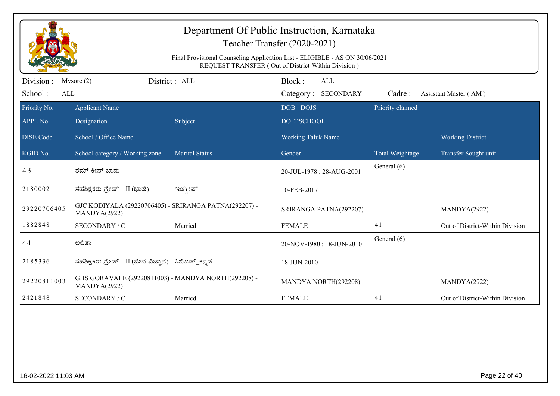|                              | Department Of Public Instruction, Karnataka<br>Teacher Transfer (2020-2021)<br>Final Provisional Counseling Application List - ELIGIBLE - AS ON 30/06/2021<br>REQUEST TRANSFER (Out of District-Within Division) |                       |                                      |                  |                                 |  |  |  |
|------------------------------|------------------------------------------------------------------------------------------------------------------------------------------------------------------------------------------------------------------|-----------------------|--------------------------------------|------------------|---------------------------------|--|--|--|
| Division :<br>School:<br>ALL | Mysore $(2)$                                                                                                                                                                                                     | District: ALL         | Block:<br>ALL<br>Category: SECONDARY | Cadre:           | Assistant Master (AM)           |  |  |  |
| Priority No.<br>APPL No.     | <b>Applicant Name</b><br>Designation                                                                                                                                                                             | Subject               | DOB: DOJS<br><b>DOEPSCHOOL</b>       | Priority claimed |                                 |  |  |  |
| <b>DISE Code</b>             | School / Office Name                                                                                                                                                                                             |                       | Working Taluk Name                   |                  | <b>Working District</b>         |  |  |  |
| KGID No.                     | School category / Working zone                                                                                                                                                                                   | <b>Marital Status</b> | Gender                               | Total Weightage  | Transfer Sought unit            |  |  |  |
| 43                           | ತಮ್ ಕೀನ್ ಬಾನು                                                                                                                                                                                                    |                       | 20-JUL-1978: 28-AUG-2001             | General (6)      |                                 |  |  |  |
| 2180002                      | ಸಹಶಿಕ್ಷಕರು ಗ್ರೇಡ್ II (ಭಾಷೆ)                                                                                                                                                                                      | ಇಂಗ್ಲೀಷ್              | 10-FEB-2017                          |                  |                                 |  |  |  |
| 29220706405                  | GJC KODIYALA (29220706405) - SRIRANGA PATNA(292207) -<br>MANDYA(2922)                                                                                                                                            |                       | SRIRANGA PATNA(292207)               |                  | MANDYA(2922)                    |  |  |  |
| 1882848                      | SECONDARY / C                                                                                                                                                                                                    | Married               | <b>FEMALE</b>                        | 41               | Out of District-Within Division |  |  |  |
| 44                           | ಲಲಿತಾ                                                                                                                                                                                                            |                       | 20-NOV-1980: 18-JUN-2010             | General (6)      |                                 |  |  |  |
| 2185336                      | ಸಹಶಿಕ್ಷಕರು ಗ್ರೇಡ್ II (ಜೀವ ವಿಜ್ಞಾನ) ಸಿಬಿಜಡ್_ಕನ್ನಡ                                                                                                                                                                 |                       | 18-JUN-2010                          |                  |                                 |  |  |  |
| 29220811003                  | GHS GORAVALE (29220811003) - MANDYA NORTH(292208) -<br>MANDYA(2922)                                                                                                                                              |                       | MANDYA NORTH(292208)                 |                  | MANDYA(2922)                    |  |  |  |
| 2421848                      | SECONDARY / C                                                                                                                                                                                                    | Married               | <b>FEMALE</b>                        | 41               | Out of District-Within Division |  |  |  |
|                              |                                                                                                                                                                                                                  |                       |                                      |                  |                                 |  |  |  |
| 16-02-2022 11:03 AM          |                                                                                                                                                                                                                  |                       |                                      |                  | Page 22 of 40                   |  |  |  |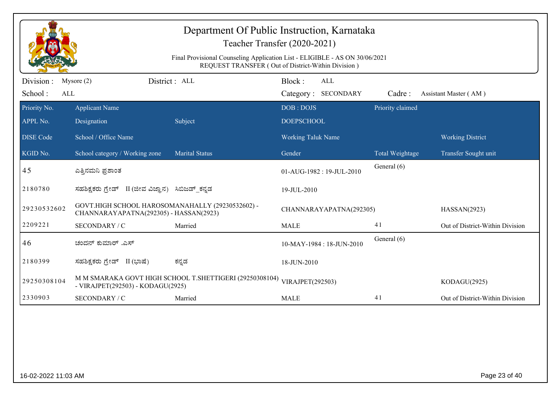|                              | Department Of Public Instruction, Karnataka<br>Teacher Transfer (2020-2021)<br>Final Provisional Counseling Application List - ELIGIBLE - AS ON 30/06/2021<br>REQUEST TRANSFER (Out of District-Within Division) |                                                         |                                      |                  |                                 |  |  |  |
|------------------------------|------------------------------------------------------------------------------------------------------------------------------------------------------------------------------------------------------------------|---------------------------------------------------------|--------------------------------------|------------------|---------------------------------|--|--|--|
| Division :<br>School:<br>ALL | Mysore $(2)$                                                                                                                                                                                                     | District : ALL                                          | Block:<br>ALL<br>Category: SECONDARY | Cadre:           | Assistant Master (AM)           |  |  |  |
| Priority No.<br>APPL No.     | <b>Applicant Name</b><br>Designation                                                                                                                                                                             | Subject                                                 | DOB: DOJS<br><b>DOEPSCHOOL</b>       | Priority claimed |                                 |  |  |  |
| <b>DISE Code</b>             | School / Office Name                                                                                                                                                                                             |                                                         | <b>Working Taluk Name</b>            |                  | <b>Working District</b>         |  |  |  |
| KGID No.                     | School category / Working zone                                                                                                                                                                                   | <b>Marital Status</b>                                   | Gender                               | Total Weightage  | Transfer Sought unit            |  |  |  |
| 45                           | ಎತ್ತಿನಮನಿ ಪ್ರಶಾಂತ                                                                                                                                                                                                |                                                         | 01-AUG-1982: 19-JUL-2010             | General (6)      |                                 |  |  |  |
| 2180780                      | ಸಹಶಿಕ್ಷಕರು ಗ್ರೇಡ್ II (ಜೀವ ವಿಜ್ಞಾನ) ಸಿಬಿಜಡ್ ಕನ್ನಡ                                                                                                                                                                 |                                                         | 19-JUL-2010                          |                  |                                 |  |  |  |
| 29230532602                  | GOVT.HIGH SCHOOL HAROSOMANAHALLY (29230532602) -<br>CHANNARAYAPATNA(292305) - HASSAN(2923)                                                                                                                       |                                                         | CHANNARAYAPATNA(292305)              |                  | HASSAN(2923)                    |  |  |  |
| 2209221                      | SECONDARY / C                                                                                                                                                                                                    | Married                                                 | <b>MALE</b>                          | 41               | Out of District-Within Division |  |  |  |
| 46                           | ಚಂದನ್ ಕುಮಾರ್ .ಎಸ್                                                                                                                                                                                                |                                                         | 10-MAY-1984 : 18-JUN-2010            | General (6)      |                                 |  |  |  |
| 2180399                      | ಸಹಶಿಕ್ಷಕರು ಗ್ರೇಡ್ II (ಭಾಷೆ)                                                                                                                                                                                      | ಕನ್ನಡ                                                   | 18-JUN-2010                          |                  |                                 |  |  |  |
| 29250308104                  | - VIRAJPET(292503) - KODAGU(2925)                                                                                                                                                                                | M M SMARAKA GOVT HIGH SCHOOL T.SHETTIGERI (29250308104) | VIRAJPET(292503)                     |                  | KODAGU(2925)                    |  |  |  |
| 2330903                      | SECONDARY / C                                                                                                                                                                                                    | Married                                                 | <b>MALE</b>                          | 41               | Out of District-Within Division |  |  |  |
|                              |                                                                                                                                                                                                                  |                                                         |                                      |                  |                                 |  |  |  |
| 16-02-2022 11:03 AM          |                                                                                                                                                                                                                  |                                                         |                                      |                  | Page 23 of 40                   |  |  |  |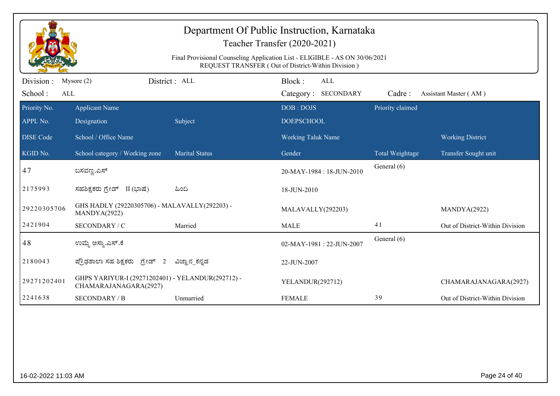|                       | Department Of Public Instruction, Karnataka<br>Teacher Transfer (2020-2021)                                                       |                       |                                      |                  |                                 |  |  |  |
|-----------------------|-----------------------------------------------------------------------------------------------------------------------------------|-----------------------|--------------------------------------|------------------|---------------------------------|--|--|--|
|                       | Final Provisional Counseling Application List - ELIGIBLE - AS ON 30/06/2021<br>REQUEST TRANSFER (Out of District-Within Division) |                       |                                      |                  |                                 |  |  |  |
| Division :<br>School: | Mysore $(2)$<br>ALL                                                                                                               | District : ALL        | Block:<br>ALL<br>Category: SECONDARY | Cadre:           | Assistant Master (AM)           |  |  |  |
| Priority No.          | <b>Applicant Name</b>                                                                                                             |                       | DOB: DOJS                            | Priority claimed |                                 |  |  |  |
| APPL No.              | Designation                                                                                                                       | Subject               | <b>DOEPSCHOOL</b>                    |                  |                                 |  |  |  |
| <b>DISE Code</b>      | School / Office Name                                                                                                              |                       | Working Taluk Name                   |                  | <b>Working District</b>         |  |  |  |
| KGID No.              | School category / Working zone                                                                                                    | <b>Marital Status</b> | Gender                               | Total Weightage  | Transfer Sought unit            |  |  |  |
| 47                    | ಬಸವಣ್ಣ.ಎಸ್                                                                                                                        |                       | 20-MAY-1984: 18-JUN-2010             | General (6)      |                                 |  |  |  |
| 2175993               | ಸಹಶಿಕ್ಷಕರು ಗ್ರೇಡ್ II (ಭಾಷೆ)                                                                                                       | ಹಿಂದಿ                 | 18-JUN-2010                          |                  |                                 |  |  |  |
| 29220305706           | GHS HADLY (29220305706) - MALAVALLY(292203) -<br>MANDYA(2922)                                                                     |                       | MALAVALLY(292203)                    |                  | MANDYA(2922)                    |  |  |  |
| 2421904               | SECONDARY / C                                                                                                                     | Married               | <b>MALE</b>                          | 41               | Out of District-Within Division |  |  |  |
| 48                    | ಉಮ್ಮೆ ಅಸ್ತ್ಯಾಎಸ್.ಕೆ                                                                                                               |                       | 02-MAY-1981: 22-JUN-2007             | General (6)      |                                 |  |  |  |
| 2180043               | ಪ್ರೌಢಶಾಲಾ ಸಹ ಶಿಕ್ಷಕರು ಗ್ರೇಡ್ 2                                                                                                    | ವಿಜ್ಞಾನ_ಕನ್ನಡ         | 22-JUN-2007                          |                  |                                 |  |  |  |
| 29271202401           | GHPS YARIYUR-I (29271202401) - YELANDUR(292712) -<br>CHAMARAJANAGARA(2927)                                                        |                       | YELANDUR(292712)                     |                  | CHAMARAJANAGARA(2927)           |  |  |  |
| 2241638               | <b>SECONDARY / B</b>                                                                                                              | Unmarried             | <b>FEMALE</b>                        | 39               | Out of District-Within Division |  |  |  |
|                       |                                                                                                                                   |                       |                                      |                  |                                 |  |  |  |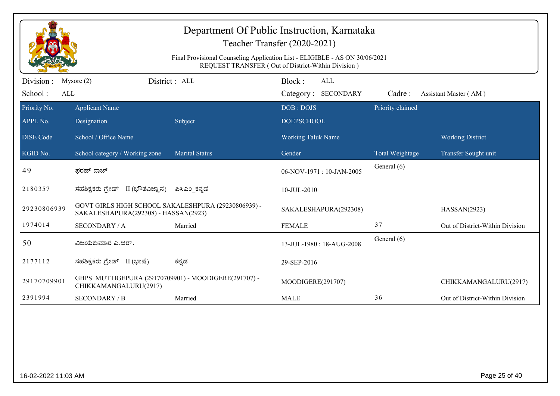|                             | Department Of Public Instruction, Karnataka<br>Teacher Transfer (2020-2021)<br>Final Provisional Counseling Application List - ELIGIBLE - AS ON 30/06/2021<br>REQUEST TRANSFER (Out of District-Within Division) |                       |                                |                            |                  |                                 |  |  |
|-----------------------------|------------------------------------------------------------------------------------------------------------------------------------------------------------------------------------------------------------------|-----------------------|--------------------------------|----------------------------|------------------|---------------------------------|--|--|
| Division:<br>School:<br>ALL | Mysore $(2)$                                                                                                                                                                                                     | District: ALL         | Block:                         | ALL<br>Category: SECONDARY | Cadre:           | Assistant Master (AM)           |  |  |
| Priority No.<br>APPL No.    | <b>Applicant Name</b><br>Designation                                                                                                                                                                             | Subject               | DOB: DOJS<br><b>DOEPSCHOOL</b> |                            | Priority claimed |                                 |  |  |
| <b>DISE Code</b>            | School / Office Name                                                                                                                                                                                             |                       | Working Taluk Name             |                            |                  | <b>Working District</b>         |  |  |
| KGID No.                    | School category / Working zone                                                                                                                                                                                   | <b>Marital Status</b> | Gender                         |                            | Total Weightage  | Transfer Sought unit            |  |  |
| 49                          | ಫರಹ್ ನಾಜ್                                                                                                                                                                                                        |                       |                                | 06-NOV-1971: 10-JAN-2005   | General (6)      |                                 |  |  |
| 2180357                     | ಸಹಶಿಕ್ಷಕರು ಗ್ರೇಡ್ II (ಭೌತವಿಜ್ಞಾನ)                                                                                                                                                                                | ಪಿಸಿಎಂ ಕನ್ನಡ          | 10-JUL-2010                    |                            |                  |                                 |  |  |
| 29230806939                 | GOVT GIRLS HIGH SCHOOL SAKALESHPURA (29230806939) -<br>SAKALESHAPURA(292308) - HASSAN(2923)                                                                                                                      |                       |                                | SAKALESHAPURA(292308)      |                  | HASSAN(2923)                    |  |  |
| 1974014                     | <b>SECONDARY / A</b>                                                                                                                                                                                             | Married               | <b>FEMALE</b>                  |                            | 37               | Out of District-Within Division |  |  |
| 50                          | ವಿಜಯಕುಮಾರ ಎ.ಆರ್.                                                                                                                                                                                                 |                       |                                | 13-JUL-1980: 18-AUG-2008   | General (6)      |                                 |  |  |
| 2177112                     | ಸಹಶಿಕ್ಷಕರು ಗ್ರೇಡ್ II (ಭಾಷೆ)                                                                                                                                                                                      | ಕನ್ನಡ                 | 29-SEP-2016                    |                            |                  |                                 |  |  |
| 29170709901                 | GHPS MUTTIGEPURA (29170709901) - MOODIGERE(291707) -<br>CHIKKAMANGALURU(2917)                                                                                                                                    |                       | MOODIGERE(291707)              |                            |                  | CHIKKAMANGALURU(2917)           |  |  |
| 2391994                     | <b>SECONDARY / B</b>                                                                                                                                                                                             | Married               | <b>MALE</b>                    |                            | 36               | Out of District-Within Division |  |  |
|                             |                                                                                                                                                                                                                  |                       |                                |                            |                  |                                 |  |  |
| 16-02-2022 11:03 AM         |                                                                                                                                                                                                                  |                       |                                |                            |                  | Page 25 of 40                   |  |  |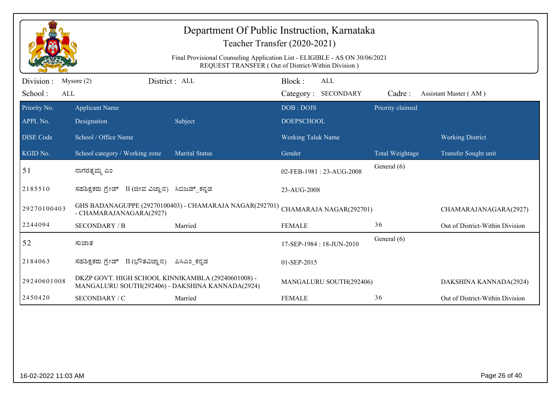|                              | Department Of Public Instruction, Karnataka<br>Teacher Transfer (2020-2021)<br>Final Provisional Counseling Application List - ELIGIBLE - AS ON 30/06/2021<br>REQUEST TRANSFER (Out of District-Within Division) |                                                         |                                      |                  |                                 |  |  |  |
|------------------------------|------------------------------------------------------------------------------------------------------------------------------------------------------------------------------------------------------------------|---------------------------------------------------------|--------------------------------------|------------------|---------------------------------|--|--|--|
| Division :<br>School:<br>ALL | Mysore $(2)$                                                                                                                                                                                                     | District: ALL                                           | Block:<br>ALL<br>Category: SECONDARY | Cadre:           | Assistant Master (AM)           |  |  |  |
| Priority No.<br>APPL No.     | <b>Applicant Name</b><br>Designation                                                                                                                                                                             | Subject                                                 | DOB: DOJS<br><b>DOEPSCHOOL</b>       | Priority claimed |                                 |  |  |  |
| <b>DISE Code</b>             | School / Office Name                                                                                                                                                                                             |                                                         | Working Taluk Name                   |                  | <b>Working District</b>         |  |  |  |
| KGID No.                     | School category / Working zone                                                                                                                                                                                   | <b>Marital Status</b>                                   | Gender                               | Total Weightage  | Transfer Sought unit            |  |  |  |
| 51                           | ನಾಗರತ್ನಮ್ಮ ಎಂ                                                                                                                                                                                                    |                                                         | 02-FEB-1981: 23-AUG-2008             | General (6)      |                                 |  |  |  |
| 2185510                      | ಸಹಶಿಕ್ಷಕರು ಗ್ರೇಡ್ II (ಜೀವ ವಿಜ್ಞಾನ) ಸಿಬಿಜಡ್ ಕನ್ನಡ                                                                                                                                                                 |                                                         | 23-AUG-2008                          |                  |                                 |  |  |  |
| 29270100403                  | - CHAMARAJANAGARA(2927)                                                                                                                                                                                          | GHS BADANAGUPPE (29270100403) - CHAMARAJA NAGAR(292701) | CHAMARAJA NAGAR(292701)              |                  | CHAMARAJANAGARA(2927)           |  |  |  |
| 2244094                      | <b>SECONDARY / B</b>                                                                                                                                                                                             | Married                                                 | <b>FEMALE</b>                        | 36               | Out of District-Within Division |  |  |  |
| 52                           | ಸುಜಾತ                                                                                                                                                                                                            |                                                         | 17-SEP-1984: 18-JUN-2010             | General (6)      |                                 |  |  |  |
| 2184063                      | ಸಹಶಿಕ್ಷಕರು ಗ್ರೇಡ್ II (ಭೌತವಿಜ್ಞಾನ)                                                                                                                                                                                | ಪಿಸಿಎಂ ಕನ್ನಡ                                            | 01-SEP-2015                          |                  |                                 |  |  |  |
| 29240601008                  | DKZP GOVT. HIGH SCHOOL KINNIKAMBLA (29240601008) -<br>MANGALURU SOUTH(292406) - DAKSHINA KANNADA(2924)                                                                                                           |                                                         | MANGALURU SOUTH(292406)              |                  | DAKSHINA KANNADA(2924)          |  |  |  |
| 2450420                      | SECONDARY / C                                                                                                                                                                                                    | Married                                                 | <b>FEMALE</b>                        | 36               | Out of District-Within Division |  |  |  |
|                              |                                                                                                                                                                                                                  |                                                         |                                      |                  |                                 |  |  |  |
| 16-02-2022 11:03 AM          |                                                                                                                                                                                                                  |                                                         |                                      |                  | Page 26 of 40                   |  |  |  |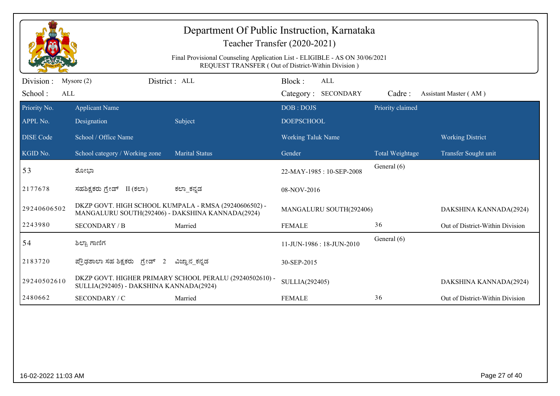|                              | Department Of Public Instruction, Karnataka<br>Teacher Transfer (2020-2021)<br>Final Provisional Counseling Application List - ELIGIBLE - AS ON 30/06/2021<br>REQUEST TRANSFER (Out of District-Within Division) |                                                         |                                      |                  |                                 |  |  |  |
|------------------------------|------------------------------------------------------------------------------------------------------------------------------------------------------------------------------------------------------------------|---------------------------------------------------------|--------------------------------------|------------------|---------------------------------|--|--|--|
| Division :<br>School:<br>ALL | Mysore $(2)$                                                                                                                                                                                                     | District : ALL                                          | Block:<br>ALL<br>Category: SECONDARY | Cadre:           | Assistant Master (AM)           |  |  |  |
| Priority No.<br>APPL No.     | <b>Applicant Name</b><br>Designation                                                                                                                                                                             | Subject                                                 | DOB: DOJS<br><b>DOEPSCHOOL</b>       | Priority claimed |                                 |  |  |  |
| <b>DISE Code</b>             | School / Office Name                                                                                                                                                                                             |                                                         | <b>Working Taluk Name</b>            |                  | <b>Working District</b>         |  |  |  |
| KGID No.                     | School category / Working zone                                                                                                                                                                                   | <b>Marital Status</b>                                   | Gender                               | Total Weightage  | Transfer Sought unit            |  |  |  |
| 53                           | ಶೋಭಾ                                                                                                                                                                                                             |                                                         | 22-MAY-1985: 10-SEP-2008             | General (6)      |                                 |  |  |  |
| 2177678                      | ಸಹಶಿಕ್ಷಕರು ಗ್ರೇಡ್ II (ಕಲಾ)                                                                                                                                                                                       | ಕಲ್_ಕನ್ನಡ                                               | 08-NOV-2016                          |                  |                                 |  |  |  |
| 29240606502                  | DKZP GOVT. HIGH SCHOOL KUMPALA - RMSA (29240606502) -<br>MANGALURU SOUTH(292406) - DAKSHINA KANNADA(2924)                                                                                                        |                                                         | MANGALURU SOUTH(292406)              |                  | DAKSHINA KANNADA(2924)          |  |  |  |
| 2243980                      | <b>SECONDARY / B</b>                                                                                                                                                                                             | Married                                                 | <b>FEMALE</b>                        | 36               | Out of District-Within Division |  |  |  |
| 54                           | ಶಿಲ್ಪಾ ಗಾಣಿಗ                                                                                                                                                                                                     |                                                         | 11-JUN-1986 : 18-JUN-2010            | General (6)      |                                 |  |  |  |
| 2183720                      | ಪ್ರೌಢಶಾಲಾ ಸಹ ಶಿಕ್ಷಕರು ಗ್ರೇಡ್ 2                                                                                                                                                                                   | ವಿಜ್ಞಾನ_ಕನ್ನಡ                                           | 30-SEP-2015                          |                  |                                 |  |  |  |
| 29240502610                  | SULLIA(292405) - DAKSHINA KANNADA(2924)                                                                                                                                                                          | DKZP GOVT. HIGHER PRIMARY SCHOOL PERALU (29240502610) - | SULLIA(292405)                       |                  | DAKSHINA KANNADA(2924)          |  |  |  |
| 2480662                      | SECONDARY / C                                                                                                                                                                                                    | Married                                                 | <b>FEMALE</b>                        | 36               | Out of District-Within Division |  |  |  |
|                              |                                                                                                                                                                                                                  |                                                         |                                      |                  |                                 |  |  |  |
| 16-02-2022 11:03 AM          |                                                                                                                                                                                                                  |                                                         |                                      |                  | Page 27 of 40                   |  |  |  |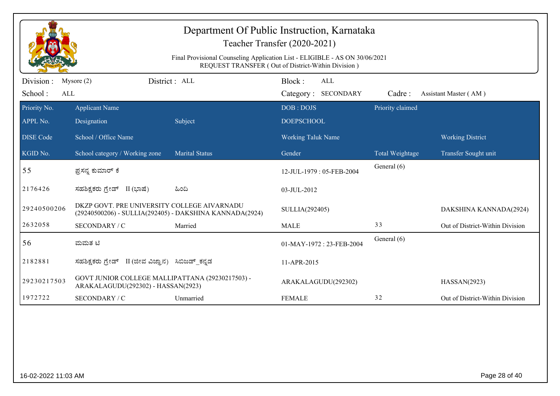|                       | Department Of Public Instruction, Karnataka<br>Teacher Transfer (2020-2021)                                                       |                                                         |                           |                  |                                 |  |  |  |
|-----------------------|-----------------------------------------------------------------------------------------------------------------------------------|---------------------------------------------------------|---------------------------|------------------|---------------------------------|--|--|--|
|                       | Final Provisional Counseling Application List - ELIGIBLE - AS ON 30/06/2021<br>REQUEST TRANSFER (Out of District-Within Division) |                                                         |                           |                  |                                 |  |  |  |
| Division :            | Mysore $(2)$                                                                                                                      | District: ALL                                           | Block:<br>ALL             |                  |                                 |  |  |  |
| School:<br><b>ALL</b> |                                                                                                                                   |                                                         | Category: SECONDARY       | Cadre:           | Assistant Master (AM)           |  |  |  |
| Priority No.          | <b>Applicant Name</b>                                                                                                             |                                                         | DOB: DOJS                 | Priority claimed |                                 |  |  |  |
| APPL No.              | Designation                                                                                                                       | Subject                                                 | <b>DOEPSCHOOL</b>         |                  |                                 |  |  |  |
| <b>DISE</b> Code      | School / Office Name                                                                                                              |                                                         | <b>Working Taluk Name</b> |                  | <b>Working District</b>         |  |  |  |
| KGID No.              | School category / Working zone                                                                                                    | <b>Marital Status</b>                                   | Gender                    | Total Weightage  | Transfer Sought unit            |  |  |  |
| 55                    | ಪ್ರಸನ್ನ ಕುಮಾರ್ ಕೆ                                                                                                                 |                                                         | 12-JUL-1979: 05-FEB-2004  | General (6)      |                                 |  |  |  |
| 2176426               | ಸಹಶಿಕ್ಷಕರು ಗ್ರೇಡ್ II (ಭಾಷೆ)                                                                                                       | ಹಿಂದಿ                                                   | 03-JUL-2012               |                  |                                 |  |  |  |
| 29240500206           | DKZP GOVT. PRE UNIVERSITY COLLEGE AIVARNADU                                                                                       | (29240500206) - SULLIA(292405) - DAKSHINA KANNADA(2924) | SULLIA(292405)            |                  | DAKSHINA KANNADA(2924)          |  |  |  |
| 2632058               | SECONDARY / C                                                                                                                     | Married                                                 | <b>MALE</b>               | 33               | Out of District-Within Division |  |  |  |
| 56                    | ಮಮತ ಟಿ                                                                                                                            |                                                         | 01-MAY-1972: 23-FEB-2004  | General (6)      |                                 |  |  |  |
| 2182881               | ಸಹಶಿಕ್ಷಕರು ಗ್ರೇಡ್  II (ಜೀವ ವಿಜ್ಞಾನ)  ಸಿಬಿಜಡ್_ಕನ್ನಡ                                                                                |                                                         | 11-APR-2015               |                  |                                 |  |  |  |
| 29230217503           | GOVT JUNIOR COLLEGE MALLIPATTANA (29230217503) -<br>ARAKALAGUDU(292302) - HASSAN(2923)                                            |                                                         | ARAKALAGUDU(292302)       |                  | HASSAN(2923)                    |  |  |  |
| 1972722               | SECONDARY / C                                                                                                                     | Unmarried                                               | <b>FEMALE</b>             | 32               | Out of District-Within Division |  |  |  |
|                       |                                                                                                                                   |                                                         |                           |                  |                                 |  |  |  |
|                       |                                                                                                                                   |                                                         |                           |                  |                                 |  |  |  |
|                       |                                                                                                                                   |                                                         |                           |                  |                                 |  |  |  |
|                       |                                                                                                                                   |                                                         |                           |                  |                                 |  |  |  |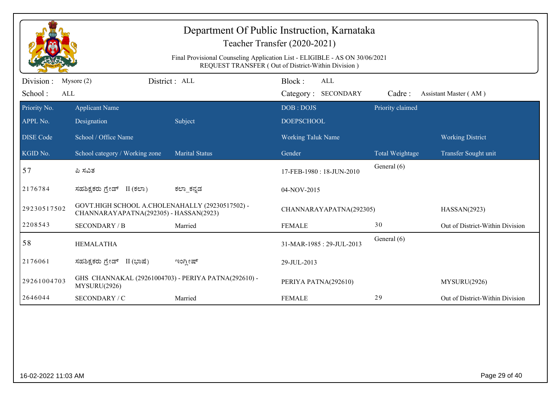|                              | Department Of Public Instruction, Karnataka<br>Teacher Transfer (2020-2021)<br>Final Provisional Counseling Application List - ELIGIBLE - AS ON 30/06/2021<br>REQUEST TRANSFER (Out of District-Within Division) |                       |                                             |                  |                                 |  |  |  |
|------------------------------|------------------------------------------------------------------------------------------------------------------------------------------------------------------------------------------------------------------|-----------------------|---------------------------------------------|------------------|---------------------------------|--|--|--|
| Division :<br>School:<br>ALL | Mysore $(2)$                                                                                                                                                                                                     | District: ALL         | Block:<br><b>ALL</b><br>Category: SECONDARY | Cadre:           | Assistant Master (AM)           |  |  |  |
| Priority No.<br>APPL No.     | <b>Applicant Name</b><br>Designation                                                                                                                                                                             | Subject               | DOB: DOJS<br><b>DOEPSCHOOL</b>              | Priority claimed |                                 |  |  |  |
| <b>DISE Code</b>             | School / Office Name                                                                                                                                                                                             |                       | <b>Working Taluk Name</b>                   |                  | <b>Working District</b>         |  |  |  |
| KGID No.                     | School category / Working zone                                                                                                                                                                                   | <b>Marital Status</b> | Gender                                      | Total Weightage  | Transfer Sought unit            |  |  |  |
| 57                           | ಪಿ ಸವಿತ                                                                                                                                                                                                          |                       | 17-FEB-1980: 18-JUN-2010                    | General (6)      |                                 |  |  |  |
| 2176784                      | ಸಹಶಿಕ್ಷಕರು ಗ್ರೇಡ್ II (ಕಲಾ)                                                                                                                                                                                       | ಕಲಾ ಕನ್ನಡ             | 04-NOV-2015                                 |                  |                                 |  |  |  |
| 29230517502                  | GOVT.HIGH SCHOOL A.CHOLENAHALLY (29230517502) -<br>CHANNARAYAPATNA(292305) - HASSAN(2923)                                                                                                                        |                       | CHANNARAYAPATNA(292305)                     |                  | HASSAN(2923)                    |  |  |  |
| 2208543                      | <b>SECONDARY / B</b>                                                                                                                                                                                             | Married               | <b>FEMALE</b>                               | 30               | Out of District-Within Division |  |  |  |
| 58                           | <b>HEMALATHA</b>                                                                                                                                                                                                 |                       | 31-MAR-1985: 29-JUL-2013                    | General (6)      |                                 |  |  |  |
| 2176061                      | ಸಹಶಿಕ್ಷಕರು ಗ್ರೇಡ್ II (ಭಾಷೆ)                                                                                                                                                                                      | ಇಂಗ್ಲೀಷ್              | 29-JUL-2013                                 |                  |                                 |  |  |  |
| 29261004703                  | GHS CHANNAKAL (29261004703) - PERIYA PATNA(292610) -<br>MYSURU(2926)                                                                                                                                             |                       | PERIYA PATNA(292610)                        |                  | MYSURU(2926)                    |  |  |  |
| 2646044                      | SECONDARY / C                                                                                                                                                                                                    | Married               | <b>FEMALE</b>                               | 29               | Out of District-Within Division |  |  |  |
|                              |                                                                                                                                                                                                                  |                       |                                             |                  |                                 |  |  |  |
| 16-02-2022 11:03 AM          |                                                                                                                                                                                                                  |                       |                                             |                  | Page 29 of 40                   |  |  |  |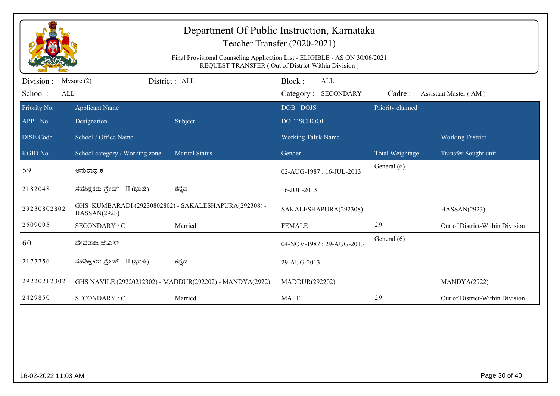|                              | Department Of Public Instruction, Karnataka<br>Teacher Transfer (2020-2021)<br>Final Provisional Counseling Application List - ELIGIBLE - AS ON 30/06/2021<br>REQUEST TRANSFER (Out of District-Within Division) |                                                          |                                             |                  |                                 |  |  |  |
|------------------------------|------------------------------------------------------------------------------------------------------------------------------------------------------------------------------------------------------------------|----------------------------------------------------------|---------------------------------------------|------------------|---------------------------------|--|--|--|
| Division :<br>School:<br>ALL | Mysore $(2)$                                                                                                                                                                                                     | District : ALL                                           | Block:<br><b>ALL</b><br>Category: SECONDARY | Cadre:           | Assistant Master (AM)           |  |  |  |
| Priority No.<br>APPL No.     | <b>Applicant Name</b><br>Designation                                                                                                                                                                             | Subject                                                  | DOB: DOJS<br><b>DOEPSCHOOL</b>              | Priority claimed |                                 |  |  |  |
| <b>DISE Code</b>             | School / Office Name                                                                                                                                                                                             |                                                          | Working Taluk Name                          |                  | <b>Working District</b>         |  |  |  |
| KGID No.                     | School category / Working zone                                                                                                                                                                                   | <b>Marital Status</b>                                    | Gender                                      | Total Weightage  | Transfer Sought unit            |  |  |  |
| 59                           | ಅನುರಾಧ.ಕೆ                                                                                                                                                                                                        |                                                          | 02-AUG-1987: 16-JUL-2013                    | General (6)      |                                 |  |  |  |
| 2182048                      | ಸಹಶಿಕ್ಷಕರು ಗ್ರೇಡ್ II (ಭಾಷೆ)                                                                                                                                                                                      | ಕನ್ನಡ                                                    | 16-JUL-2013                                 |                  |                                 |  |  |  |
| 29230802802                  | HASSAN(2923)                                                                                                                                                                                                     | GHS KUMBARADI (29230802802) - SAKALESHAPURA(292308) -    | SAKALESHAPURA(292308)                       |                  | HASSAN(2923)                    |  |  |  |
| 2509095                      | SECONDARY / C                                                                                                                                                                                                    | Married                                                  | <b>FEMALE</b>                               | 29               | Out of District-Within Division |  |  |  |
| 60                           | ದೇವರಾಜ ಜೆ.ಎಸ್                                                                                                                                                                                                    |                                                          | 04-NOV-1987: 29-AUG-2013                    | General (6)      |                                 |  |  |  |
| 2177756                      | ಸಹಶಿಕ್ಷಕರು ಗ್ರೇಡ್ II (ಭಾಷೆ)                                                                                                                                                                                      | ಕನ್ನಡ                                                    | 29-AUG-2013                                 |                  |                                 |  |  |  |
| 29220212302                  |                                                                                                                                                                                                                  | GHS NAVILE (29220212302) - MADDUR(292202) - MANDYA(2922) | MADDUR(292202)                              |                  | MANDYA(2922)                    |  |  |  |
| 2429850                      | SECONDARY / C                                                                                                                                                                                                    | Married                                                  | <b>MALE</b>                                 | 29               | Out of District-Within Division |  |  |  |
|                              |                                                                                                                                                                                                                  |                                                          |                                             |                  |                                 |  |  |  |
| 16-02-2022 11:03 AM          |                                                                                                                                                                                                                  |                                                          |                                             |                  | Page 30 of 40                   |  |  |  |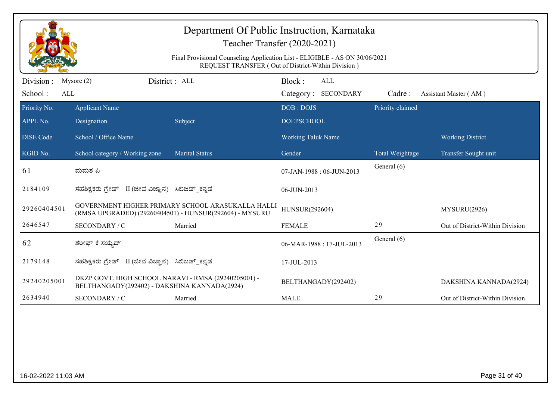|                              | Department Of Public Instruction, Karnataka<br>Teacher Transfer (2020-2021)<br>Final Provisional Counseling Application List - ELIGIBLE - AS ON 30/06/2021<br>REQUEST TRANSFER (Out of District-Within Division) |                                                                                                              |                                |                                   |                  |                                 |  |  |
|------------------------------|------------------------------------------------------------------------------------------------------------------------------------------------------------------------------------------------------------------|--------------------------------------------------------------------------------------------------------------|--------------------------------|-----------------------------------|------------------|---------------------------------|--|--|
| Division :<br>School:<br>ALL | Mysore $(2)$                                                                                                                                                                                                     | District: ALL                                                                                                | Block:                         | <b>ALL</b><br>Category: SECONDARY | Cadre:           | Assistant Master (AM)           |  |  |
| Priority No.<br>APPL No.     | <b>Applicant Name</b><br>Designation                                                                                                                                                                             | Subject                                                                                                      | DOB: DOJS<br><b>DOEPSCHOOL</b> |                                   | Priority claimed |                                 |  |  |
| <b>DISE Code</b>             | School / Office Name                                                                                                                                                                                             |                                                                                                              | <b>Working Taluk Name</b>      |                                   |                  | <b>Working District</b>         |  |  |
| KGID No.                     | School category / Working zone                                                                                                                                                                                   | <b>Marital Status</b>                                                                                        | Gender                         |                                   | Total Weightage  | Transfer Sought unit            |  |  |
| $\vert 61 \vert$             | ಮಮತ ಪಿ                                                                                                                                                                                                           |                                                                                                              |                                | 07-JAN-1988: 06-JUN-2013          | General (6)      |                                 |  |  |
| 2184109                      | ಸಹಶಿಕ್ಷಕರು ಗ್ರೇಡ್ II (ಜೀವ ವಿಜ್ಞಾನ) ಸಿಬಿಜಡ್ ಕನ್ನಡ                                                                                                                                                                 |                                                                                                              | 06-JUN-2013                    |                                   |                  |                                 |  |  |
| 29260404501                  |                                                                                                                                                                                                                  | GOVERNMENT HIGHER PRIMARY SCHOOL ARASUKALLA HALLI<br>(RMSA UPGRADED) (29260404501) - HUNSUR(292604) - MYSURU | HUNSUR(292604)                 |                                   |                  | MYSURU(2926)                    |  |  |
| 2646547                      | SECONDARY / C                                                                                                                                                                                                    | Married                                                                                                      | <b>FEMALE</b>                  |                                   | 29               | Out of District-Within Division |  |  |
| 62                           | ಶರೀಫ್ ಕೆ ಸಯ್ಯದ್                                                                                                                                                                                                  |                                                                                                              |                                | 06-MAR-1988: 17-JUL-2013          | General (6)      |                                 |  |  |
| 2179148                      | ಸಹಶಿಕ್ಷಕರು ಗ್ರೇಡ್ II (ಜೀವ ವಿಜ್ಞಾನ) ಸಿಬಿಜಡ್_ಕನ್ನಡ                                                                                                                                                                 |                                                                                                              | 17-JUL-2013                    |                                   |                  |                                 |  |  |
| 29240205001                  | DKZP GOVT. HIGH SCHOOL NARAVI - RMSA (29240205001) -<br>BELTHANGADY(292402) - DAKSHINA KANNADA(2924)                                                                                                             |                                                                                                              |                                | BELTHANGADY(292402)               |                  | DAKSHINA KANNADA(2924)          |  |  |
| 2634940                      | SECONDARY / C                                                                                                                                                                                                    | Married                                                                                                      | <b>MALE</b>                    |                                   | 29               | Out of District-Within Division |  |  |
|                              |                                                                                                                                                                                                                  |                                                                                                              |                                |                                   |                  |                                 |  |  |
| 16-02-2022 11:03 AM          |                                                                                                                                                                                                                  |                                                                                                              |                                |                                   |                  | Page 31 of 40                   |  |  |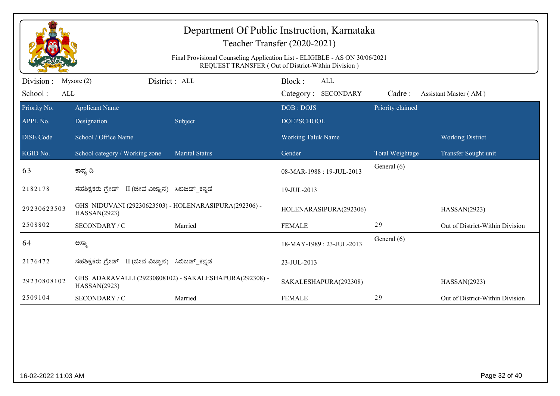|                             | Department Of Public Instruction, Karnataka<br>Teacher Transfer (2020-2021)<br>Final Provisional Counseling Application List - ELIGIBLE - AS ON 30/06/2021<br>REQUEST TRANSFER (Out of District-Within Division) |                                                        |                                |                                   |                  |                                 |  |  |
|-----------------------------|------------------------------------------------------------------------------------------------------------------------------------------------------------------------------------------------------------------|--------------------------------------------------------|--------------------------------|-----------------------------------|------------------|---------------------------------|--|--|
| Division:<br>School:<br>ALL | Mysore $(2)$                                                                                                                                                                                                     | District: ALL                                          | Block:                         | <b>ALL</b><br>Category: SECONDARY | Cadre:           | Assistant Master (AM)           |  |  |
| Priority No.<br>APPL No.    | <b>Applicant Name</b><br>Designation                                                                                                                                                                             | Subject                                                | DOB: DOJS<br><b>DOEPSCHOOL</b> |                                   | Priority claimed |                                 |  |  |
| <b>DISE Code</b>            | School / Office Name                                                                                                                                                                                             |                                                        | Working Taluk Name             |                                   |                  | <b>Working District</b>         |  |  |
| KGID No.                    | School category / Working zone                                                                                                                                                                                   | <b>Marital Status</b>                                  | Gender                         |                                   | Total Weightage  | Transfer Sought unit            |  |  |
| 63                          | ಕಾವ್ಯ ಡಿ                                                                                                                                                                                                         |                                                        |                                | 08-MAR-1988: 19-JUL-2013          | General (6)      |                                 |  |  |
| 2182178                     | ಸಹಶಿಕ್ಷಕರು ಗ್ರೇಡ್ II (ಜೀವ ವಿಜ್ಞಾನ) ಸಿಬಿಜಡ್_ಕನ್ನಡ                                                                                                                                                                 |                                                        | 19-JUL-2013                    |                                   |                  |                                 |  |  |
| 29230623503                 | GHS NIDUVANI (29230623503) - HOLENARASIPURA(292306) -<br>HASSAN(2923)                                                                                                                                            |                                                        |                                | HOLENARASIPURA(292306)            |                  | HASSAN(2923)                    |  |  |
| 2508802                     | SECONDARY / C                                                                                                                                                                                                    | Married                                                | <b>FEMALE</b>                  |                                   | 29               | Out of District-Within Division |  |  |
| 64                          | ಅಸ್ಥಾ                                                                                                                                                                                                            |                                                        |                                | 18-MAY-1989: 23-JUL-2013          | General (6)      |                                 |  |  |
| 2176472                     | ಸಹಶಿಕ್ಷಕರು ಗ್ರೇಡ್ II (ಜೀವ ವಿಜ್ಞಾನ) ಸಿಬಿಜಡ್ ಕನ್ನಡ                                                                                                                                                                 |                                                        | 23-JUL-2013                    |                                   |                  |                                 |  |  |
| 29230808102                 | HASSAN(2923)                                                                                                                                                                                                     | GHS ADARAVALLI (29230808102) - SAKALESHAPURA(292308) - |                                | SAKALESHAPURA(292308)             |                  | HASSAN(2923)                    |  |  |
| 2509104                     | SECONDARY / C                                                                                                                                                                                                    | Married                                                | <b>FEMALE</b>                  |                                   | 29               | Out of District-Within Division |  |  |
|                             |                                                                                                                                                                                                                  |                                                        |                                |                                   |                  |                                 |  |  |
| 16-02-2022 11:03 AM         |                                                                                                                                                                                                                  |                                                        |                                |                                   |                  | Page 32 of 40                   |  |  |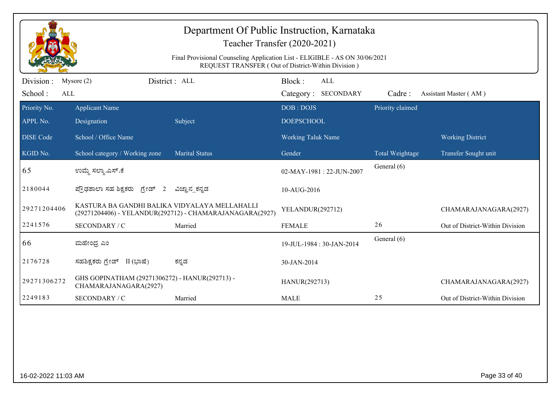|                  | Department Of Public Instruction, Karnataka<br>Teacher Transfer (2020-2021)<br>Final Provisional Counseling Application List - ELIGIBLE - AS ON 30/06/2021 |                                                          |                                                    |                  |                                 |  |  |  |
|------------------|------------------------------------------------------------------------------------------------------------------------------------------------------------|----------------------------------------------------------|----------------------------------------------------|------------------|---------------------------------|--|--|--|
|                  |                                                                                                                                                            |                                                          | REQUEST TRANSFER (Out of District-Within Division) |                  |                                 |  |  |  |
| Division :       | Mysore $(2)$                                                                                                                                               | District : ALL                                           | Block:<br><b>ALL</b>                               |                  |                                 |  |  |  |
| School:<br>ALL   |                                                                                                                                                            |                                                          | Category: SECONDARY                                | Cadre:           | Assistant Master (AM)           |  |  |  |
| Priority No.     | <b>Applicant Name</b>                                                                                                                                      |                                                          | DOB: DOJS                                          | Priority claimed |                                 |  |  |  |
| APPL No.         | Designation                                                                                                                                                | Subject                                                  | <b>DOEPSCHOOL</b>                                  |                  |                                 |  |  |  |
| <b>DISE</b> Code | School / Office Name                                                                                                                                       |                                                          | <b>Working Taluk Name</b>                          |                  | <b>Working District</b>         |  |  |  |
| KGID No.         | School category / Working zone                                                                                                                             | <b>Marital Status</b>                                    | Gender                                             | Total Weightage  | Transfer Sought unit            |  |  |  |
| 65               | ಉಮ್ಮೆ ಸಲ್ಮಾ.ಎಸ್.ಕೆ                                                                                                                                         |                                                          | 02-MAY-1981 : 22-JUN-2007                          | General (6)      |                                 |  |  |  |
| 2180044          | ಪ್ರೌಢಶಾಲಾ ಸಹ ಶಿಕ್ಷಕರು ಗ್ರೇಡ್ 2                                                                                                                             | ವಿಜ್ಞಾನ_ಕನ್ನಡ                                            | 10-AUG-2016                                        |                  |                                 |  |  |  |
| 29271204406      | KASTURA BA GANDHI BALIKA VIDYALAYA MELLAHALLI                                                                                                              | (29271204406) - YELANDUR(292712) - CHAMARAJANAGARA(2927) | YELANDUR(292712)                                   |                  | CHAMARAJANAGARA(2927)           |  |  |  |
| 2241576          | SECONDARY / C                                                                                                                                              | Married                                                  | <b>FEMALE</b>                                      | 26               | Out of District-Within Division |  |  |  |
| 66               | ಮಹೇಂದ್ರ ಎಂ                                                                                                                                                 |                                                          | 19-JUL-1984 : 30-JAN-2014                          | General (6)      |                                 |  |  |  |
| 2176728          | ಸಹಶಿಕ್ಷಕರು ಗ್ರೇಡ್ II (ಭಾಷೆ)                                                                                                                                | ಕನ್ನಡ                                                    | 30-JAN-2014                                        |                  |                                 |  |  |  |
| 29271306272      | GHS GOPINATHAM (29271306272) - HANUR(292713) -<br>CHAMARAJANAGARA(2927)                                                                                    |                                                          | HANUR(292713)                                      |                  | CHAMARAJANAGARA(2927)           |  |  |  |
| 2249183          | SECONDARY / C                                                                                                                                              | Married                                                  | <b>MALE</b>                                        | 25               | Out of District-Within Division |  |  |  |
|                  |                                                                                                                                                            |                                                          |                                                    |                  |                                 |  |  |  |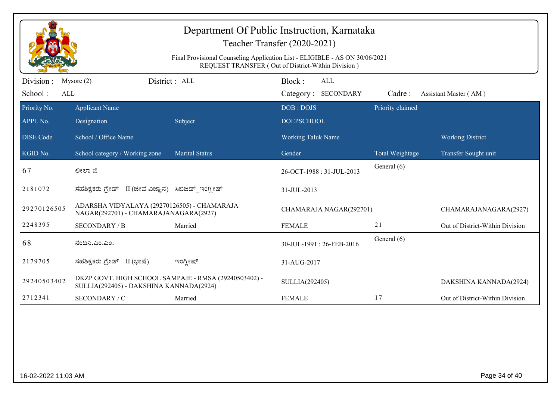|                              | Department Of Public Instruction, Karnataka<br>Teacher Transfer (2020-2021)<br>Final Provisional Counseling Application List - ELIGIBLE - AS ON 30/06/2021<br>REQUEST TRANSFER (Out of District-Within Division) |                       |                                             |                  |                                 |  |  |  |
|------------------------------|------------------------------------------------------------------------------------------------------------------------------------------------------------------------------------------------------------------|-----------------------|---------------------------------------------|------------------|---------------------------------|--|--|--|
| Division :<br>School:<br>ALL | Mysore $(2)$                                                                                                                                                                                                     | District: ALL         | Block:<br><b>ALL</b><br>Category: SECONDARY | Cadre:           | Assistant Master (AM)           |  |  |  |
| Priority No.<br>APPL No.     | <b>Applicant Name</b><br>Designation                                                                                                                                                                             | Subject               | DOB: DOJS<br><b>DOEPSCHOOL</b>              | Priority claimed |                                 |  |  |  |
| <b>DISE</b> Code             | School / Office Name                                                                                                                                                                                             |                       | <b>Working Taluk Name</b>                   |                  | <b>Working District</b>         |  |  |  |
| KGID No.                     | School category / Working zone                                                                                                                                                                                   | <b>Marital Status</b> | Gender                                      | Total Weightage  | Transfer Sought unit            |  |  |  |
| 67                           | ಲೀಲಾ ಜಿ                                                                                                                                                                                                          |                       | 26-OCT-1988: 31-JUL-2013                    | General (6)      |                                 |  |  |  |
| 2181072                      | ಸಹಶಿಕ್ಷಕರು ಗ್ರೇಡ್ II (ಜೀವ ವಿಜ್ಞಾನ) ಸಿಬಿಜಡ್_ಇಂಗ್ಲೀಷ್                                                                                                                                                              |                       | 31-JUL-2013                                 |                  |                                 |  |  |  |
| 29270126505                  | ADARSHA VIDYALAYA (29270126505) - CHAMARAJA<br>NAGAR(292701) - CHAMARAJANAGARA(2927)                                                                                                                             |                       | CHAMARAJA NAGAR(292701)                     |                  | CHAMARAJANAGARA(2927)           |  |  |  |
| 2248395                      | <b>SECONDARY / B</b>                                                                                                                                                                                             | Married               | <b>FEMALE</b>                               | 21               | Out of District-Within Division |  |  |  |
| 68                           | ನಂದಿನಿ.ಎಂ.ಎಂ.                                                                                                                                                                                                    |                       | 30-JUL-1991: 26-FEB-2016                    | General (6)      |                                 |  |  |  |
| 2179705                      | ಸಹಶಿಕ್ಷಕರು ಗ್ರೇಡ್ II (ಭಾಷೆ)                                                                                                                                                                                      | ಇಂಗ್ಲೀಷ್              | 31-AUG-2017                                 |                  |                                 |  |  |  |
| 29240503402                  | DKZP GOVT. HIGH SCHOOL SAMPAJE - RMSA (29240503402) -<br>SULLIA(292405) - DAKSHINA KANNADA(2924)                                                                                                                 |                       | SULLIA(292405)                              |                  | DAKSHINA KANNADA(2924)          |  |  |  |
| 2712341                      | SECONDARY / C                                                                                                                                                                                                    | Married               | <b>FEMALE</b>                               | 17               | Out of District-Within Division |  |  |  |
|                              |                                                                                                                                                                                                                  |                       |                                             |                  |                                 |  |  |  |
| 16-02-2022 11:03 AM          |                                                                                                                                                                                                                  |                       |                                             |                  | Page 34 of 40                   |  |  |  |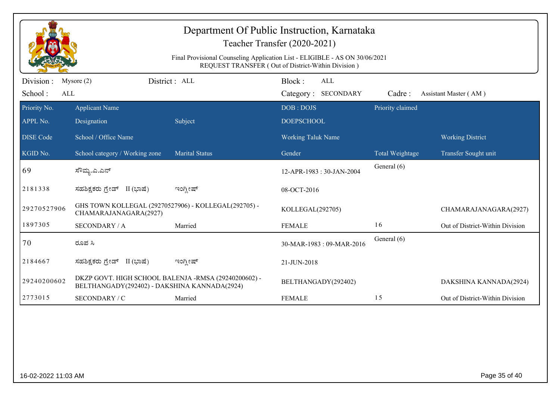|                              | Department Of Public Instruction, Karnataka<br>Teacher Transfer (2020-2021)<br>Final Provisional Counseling Application List - ELIGIBLE - AS ON 30/06/2021<br>REQUEST TRANSFER (Out of District-Within Division) |                |                                             |                  |                                 |  |  |  |
|------------------------------|------------------------------------------------------------------------------------------------------------------------------------------------------------------------------------------------------------------|----------------|---------------------------------------------|------------------|---------------------------------|--|--|--|
| Division :<br>School:<br>ALL | Mysore $(2)$                                                                                                                                                                                                     | District: ALL  | Block:<br><b>ALL</b><br>Category: SECONDARY | Cadre:           | Assistant Master (AM)           |  |  |  |
| Priority No.<br>APPL No.     | <b>Applicant Name</b><br>Designation                                                                                                                                                                             | Subject        | DOB: DOJS<br><b>DOEPSCHOOL</b>              | Priority claimed |                                 |  |  |  |
| <b>DISE Code</b>             | School / Office Name                                                                                                                                                                                             |                | <b>Working Taluk Name</b>                   |                  | <b>Working District</b>         |  |  |  |
| KGID No.                     | School category / Working zone                                                                                                                                                                                   | Marital Status | Gender                                      | Total Weightage  | Transfer Sought unit            |  |  |  |
| 69                           | ಸೌಮ್ಯ.ಎ.ಎನ್                                                                                                                                                                                                      |                | 12-APR-1983: 30-JAN-2004                    | General (6)      |                                 |  |  |  |
| 2181338                      | ಸಹಶಿಕ್ಷಕರು ಗ್ರೇಡ್ II (ಭಾಷೆ)                                                                                                                                                                                      | ಇಂಗ್ಲೀಷ್       | 08-OCT-2016                                 |                  |                                 |  |  |  |
| 29270527906                  | GHS TOWN KOLLEGAL (29270527906) - KOLLEGAL(292705) -<br>CHAMARAJANAGARA(2927)                                                                                                                                    |                | KOLLEGAL(292705)                            |                  | CHAMARAJANAGARA(2927)           |  |  |  |
| 1897305                      | <b>SECONDARY / A</b>                                                                                                                                                                                             | Married        | <b>FEMALE</b>                               | 16               | Out of District-Within Division |  |  |  |
| 70                           | ರೂಪ ಸಿ                                                                                                                                                                                                           |                | 30-MAR-1983: 09-MAR-2016                    | General (6)      |                                 |  |  |  |
| 2184667                      | ಸಹಶಿಕ್ಷಕರು ಗ್ರೇಡ್ II (ಭಾಷೆ)                                                                                                                                                                                      | ಇಂಗ್ಲೀಷ್       | 21-JUN-2018                                 |                  |                                 |  |  |  |
| 29240200602                  | DKZP GOVT. HIGH SCHOOL BALENJA -RMSA (29240200602) -<br>BELTHANGADY(292402) - DAKSHINA KANNADA(2924)                                                                                                             |                | BELTHANGADY(292402)                         |                  | DAKSHINA KANNADA(2924)          |  |  |  |
| 2773015                      | SECONDARY / C                                                                                                                                                                                                    | Married        | <b>FEMALE</b>                               | 15               | Out of District-Within Division |  |  |  |
|                              |                                                                                                                                                                                                                  |                |                                             |                  |                                 |  |  |  |
| 16-02-2022 11:03 AM          |                                                                                                                                                                                                                  |                |                                             |                  | Page 35 of 40                   |  |  |  |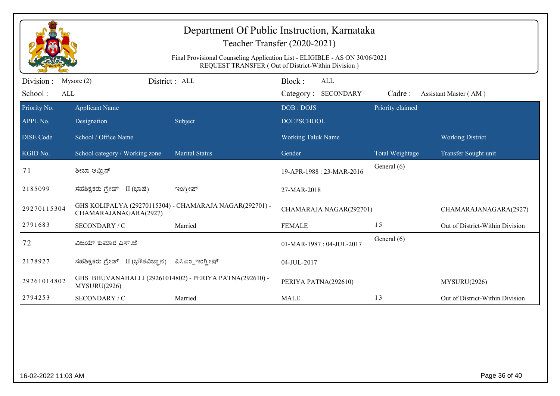|                              | Department Of Public Instruction, Karnataka<br>Teacher Transfer (2020-2021)<br>Final Provisional Counseling Application List - ELIGIBLE - AS ON 30/06/2021<br>REQUEST TRANSFER (Out of District-Within Division) |                                                         |                                             |                  |                                 |  |  |  |
|------------------------------|------------------------------------------------------------------------------------------------------------------------------------------------------------------------------------------------------------------|---------------------------------------------------------|---------------------------------------------|------------------|---------------------------------|--|--|--|
| Division :<br>School:<br>ALL | Mysore $(2)$                                                                                                                                                                                                     | District: ALL                                           | Block:<br><b>ALL</b><br>Category: SECONDARY | Cadre:           | Assistant Master (AM)           |  |  |  |
| Priority No.<br>APPL No.     | <b>Applicant Name</b><br>Designation                                                                                                                                                                             | Subject                                                 | DOB: DOJS<br><b>DOEPSCHOOL</b>              | Priority claimed |                                 |  |  |  |
| <b>DISE Code</b>             | School / Office Name                                                                                                                                                                                             |                                                         | <b>Working Taluk Name</b>                   |                  | <b>Working District</b>         |  |  |  |
| KGID No.                     | School category / Working zone                                                                                                                                                                                   | <b>Marital Status</b>                                   | Gender                                      | Total Weightage  | Transfer Sought unit            |  |  |  |
| 71                           | ಶೀಬಾ ಅಮ್ರಿನ್                                                                                                                                                                                                     |                                                         | 19-APR-1988: 23-MAR-2016                    | General (6)      |                                 |  |  |  |
| 2185099                      | ಸಹಶಿಕ್ಷಕರು ಗ್ರೇಡ್ II (ಭಾಷೆ)                                                                                                                                                                                      | ಇಂಗ್ಲೀಷ್                                                | 27-MAR-2018                                 |                  |                                 |  |  |  |
| 29270115304                  | CHAMARAJANAGARA(2927)                                                                                                                                                                                            | GHS KOLIPALYA (29270115304) - CHAMARAJA NAGAR(292701) - | CHAMARAJA NAGAR(292701)                     |                  | CHAMARAJANAGARA(2927)           |  |  |  |
| 2791683                      | SECONDARY / C                                                                                                                                                                                                    | Married                                                 | <b>FEMALE</b>                               | 15               | Out of District-Within Division |  |  |  |
| 72                           | ವಿಜಯ್ ಕುಮಾರ ಎಸ್.ಜೆ                                                                                                                                                                                               |                                                         | 01-MAR-1987: 04-JUL-2017                    | General (6)      |                                 |  |  |  |
| 2178927                      | ಸಹಶಿಕ್ಷಕರು ಗ್ರೇಡ್ II (ಭೌತವಿಜ್ಞಾನ)                                                                                                                                                                                | ಪಿಸಿಎಂ_ಇಂಗ್ಲೀಷ್                                         | 04-JUL-2017                                 |                  |                                 |  |  |  |
| 29261014802                  | MYSURU(2926)                                                                                                                                                                                                     | GHS BHUVANAHALLI (29261014802) - PERIYA PATNA(292610) - | PERIYA PATNA(292610)                        |                  | MYSURU(2926)                    |  |  |  |
| 2794253                      | SECONDARY / C                                                                                                                                                                                                    | Married                                                 | <b>MALE</b>                                 | 13               | Out of District-Within Division |  |  |  |
|                              |                                                                                                                                                                                                                  |                                                         |                                             |                  |                                 |  |  |  |
| 16-02-2022 11:03 AM          |                                                                                                                                                                                                                  |                                                         |                                             |                  | Page 36 of 40                   |  |  |  |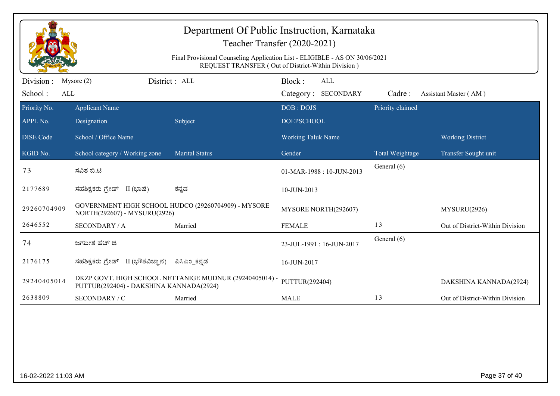| Department Of Public Instruction, Karnataka<br>Teacher Transfer (2020-2021)<br>Final Provisional Counseling Application List - ELIGIBLE - AS ON 30/06/2021<br>REQUEST TRANSFER (Out of District-Within Division) |                                                                                     |                                                         |                                |                                   |                  |                                 |
|------------------------------------------------------------------------------------------------------------------------------------------------------------------------------------------------------------------|-------------------------------------------------------------------------------------|---------------------------------------------------------|--------------------------------|-----------------------------------|------------------|---------------------------------|
| Division :<br>School:<br>ALL                                                                                                                                                                                     | Mysore $(2)$                                                                        | District: ALL                                           | Block:                         | <b>ALL</b><br>Category: SECONDARY | Cadre:           | Assistant Master (AM)           |
| Priority No.<br>APPL No.                                                                                                                                                                                         | <b>Applicant Name</b><br>Designation                                                | Subject                                                 | DOB: DOJS<br><b>DOEPSCHOOL</b> |                                   | Priority claimed |                                 |
| <b>DISE Code</b>                                                                                                                                                                                                 | School / Office Name                                                                |                                                         | <b>Working Taluk Name</b>      |                                   |                  | <b>Working District</b>         |
| KGID No.                                                                                                                                                                                                         | School category / Working zone                                                      | <b>Marital Status</b>                                   | Gender                         |                                   | Total Weightage  | Transfer Sought unit            |
| 73                                                                                                                                                                                                               | ಸವಿತ ಬಿ.ಟಿ                                                                          |                                                         | 01-MAR-1988: 10-JUN-2013       |                                   | General (6)      |                                 |
| 2177689                                                                                                                                                                                                          | ಸಹಶಿಕ್ಷಕರು ಗ್ರೇಡ್ II (ಭಾಷೆ)                                                         | ಕನ್ನಡ                                                   | 10-JUN-2013                    |                                   |                  |                                 |
| 29260704909                                                                                                                                                                                                      | GOVERNMENT HIGH SCHOOL HUDCO (29260704909) - MYSORE<br>NORTH(292607) - MYSURU(2926) |                                                         | MYSORE NORTH(292607)           |                                   | MYSURU(2926)     |                                 |
| 2646552                                                                                                                                                                                                          | <b>SECONDARY / A</b>                                                                | Married                                                 | <b>FEMALE</b>                  |                                   | 13               | Out of District-Within Division |
| 74                                                                                                                                                                                                               | ಜಗದೀಶ ಹೆಚ್ ಜಿ                                                                       |                                                         | 23-JUL-1991: 16-JUN-2017       |                                   | General (6)      |                                 |
| 2176175                                                                                                                                                                                                          | ಸಹಶಿಕ್ಷಕರು ಗ್ರೇಡ್ II (ಭೌತವಿಜ್ಞಾನ)                                                   | ಪಿಸಿಎಂ_ಕನ್ನಡ                                            | 16-JUN-2017                    |                                   |                  |                                 |
| 29240405014                                                                                                                                                                                                      | PUTTUR(292404) - DAKSHINA KANNADA(2924)                                             | DKZP GOVT. HIGH SCHOOL NETTANIGE MUDNUR (29240405014) - | PUTTUR(292404)                 |                                   |                  | DAKSHINA KANNADA(2924)          |
| 2638809                                                                                                                                                                                                          | SECONDARY / C                                                                       | Married                                                 | <b>MALE</b>                    |                                   | 13               | Out of District-Within Division |
|                                                                                                                                                                                                                  |                                                                                     |                                                         |                                |                                   |                  |                                 |
| Page 37 of 40<br>16-02-2022 11:03 AM                                                                                                                                                                             |                                                                                     |                                                         |                                |                                   |                  |                                 |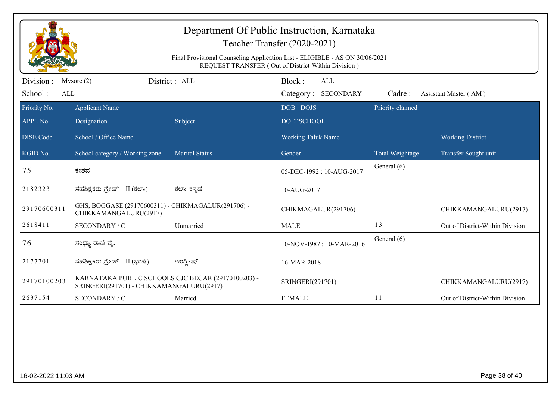| Department Of Public Instruction, Karnataka<br>Teacher Transfer (2020-2021)<br>Final Provisional Counseling Application List - ELIGIBLE - AS ON 30/06/2021<br>REQUEST TRANSFER (Out of District-Within Division) |                                                                                                |                       |                                      |                  |                                 |  |
|------------------------------------------------------------------------------------------------------------------------------------------------------------------------------------------------------------------|------------------------------------------------------------------------------------------------|-----------------------|--------------------------------------|------------------|---------------------------------|--|
| Division :<br>School:<br>ALL                                                                                                                                                                                     | Mysore $(2)$                                                                                   | District: ALL         | Block:<br>ALL<br>Category: SECONDARY | Cadre:           | Assistant Master (AM)           |  |
| Priority No.<br>APPL No.                                                                                                                                                                                         | <b>Applicant Name</b><br>Designation                                                           | Subject               | DOB: DOJS<br><b>DOEPSCHOOL</b>       | Priority claimed |                                 |  |
| <b>DISE Code</b>                                                                                                                                                                                                 | School / Office Name                                                                           |                       | <b>Working Taluk Name</b>            |                  | <b>Working District</b>         |  |
| KGID No.                                                                                                                                                                                                         | School category / Working zone                                                                 | <b>Marital Status</b> | Gender                               | Total Weightage  | Transfer Sought unit            |  |
| 75                                                                                                                                                                                                               | ಕೇಶವ                                                                                           |                       | 05-DEC-1992: 10-AUG-2017             | General (6)      |                                 |  |
| 2182323                                                                                                                                                                                                          | ಸಹಶಿಕ್ಷಕರು ಗ್ರೇಡ್ II (ಕಲಾ)                                                                     | ಕಲ್_ಕನ್ನಡ             | 10-AUG-2017                          |                  |                                 |  |
| 29170600311                                                                                                                                                                                                      | GHS, BOGGASE (29170600311) - CHIKMAGALUR(291706) -<br>CHIKKAMANGALURU(2917)                    |                       | CHIKMAGALUR(291706)                  |                  | CHIKKAMANGALURU(2917)           |  |
| 2618411                                                                                                                                                                                                          | SECONDARY / C                                                                                  | Unmarried             | <b>MALE</b>                          | 13               | Out of District-Within Division |  |
| 76                                                                                                                                                                                                               | ಸಂಧ್ಯಾ ರಾಣಿ ವೈ.                                                                                |                       | 10-NOV-1987: 10-MAR-2016             | General (6)      |                                 |  |
| 2177701                                                                                                                                                                                                          | ಸಹಶಿಕ್ಷಕರು ಗ್ರೇಡ್ II (ಭಾಷೆ)                                                                    | ಇಂಗ್ಲೀಷ್              | 16-MAR-2018                          |                  |                                 |  |
| 29170100203                                                                                                                                                                                                      | KARNATAKA PUBLIC SCHOOLS GJC BEGAR (29170100203) -<br>SRINGERI(291701) - CHIKKAMANGALURU(2917) |                       | SRINGERI(291701)                     |                  | CHIKKAMANGALURU(2917)           |  |
| 2637154                                                                                                                                                                                                          | SECONDARY / C                                                                                  | Married               | <b>FEMALE</b>                        | 11               | Out of District-Within Division |  |
|                                                                                                                                                                                                                  |                                                                                                |                       |                                      |                  |                                 |  |
| 16-02-2022 11:03 AM                                                                                                                                                                                              |                                                                                                |                       |                                      |                  | Page 38 of 40                   |  |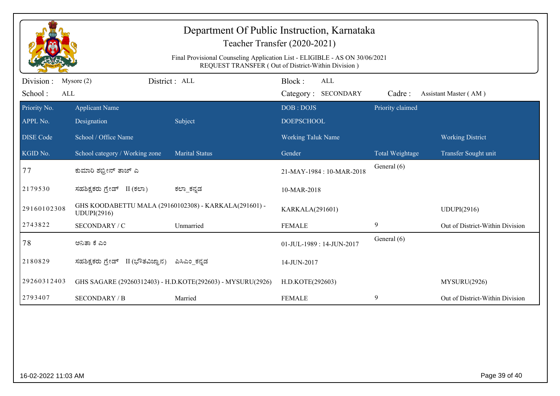| Department Of Public Instruction, Karnataka<br>Teacher Transfer (2020-2021)<br>Final Provisional Counseling Application List - ELIGIBLE - AS ON 30/06/2021<br>REQUEST TRANSFER (Out of District-Within Division) |                                                                      |                                                            |                                         |                            |                  |                                 |
|------------------------------------------------------------------------------------------------------------------------------------------------------------------------------------------------------------------|----------------------------------------------------------------------|------------------------------------------------------------|-----------------------------------------|----------------------------|------------------|---------------------------------|
| Division :<br>School:<br>ALL                                                                                                                                                                                     | Mysore $(2)$                                                         | District: ALL                                              | Block:                                  | ALL<br>Category: SECONDARY | Cadre:           | Assistant Master (AM)           |
| Priority No.<br>APPL No.                                                                                                                                                                                         | <b>Applicant Name</b><br>Designation                                 | Subject                                                    | DOB: DOJS<br><b>DOEPSCHOOL</b>          |                            | Priority claimed |                                 |
| <b>DISE Code</b>                                                                                                                                                                                                 | School / Office Name                                                 |                                                            | Working Taluk Name                      |                            |                  | <b>Working District</b>         |
| KGID No.                                                                                                                                                                                                         | School category / Working zone                                       | <b>Marital Status</b>                                      | Gender                                  |                            | Total Weightage  | Transfer Sought unit            |
| 77                                                                                                                                                                                                               | ಕುಮಾರಿ ಶಭ್ರೀನ್ ತಾಜ್ ಎ                                                |                                                            | 21-MAY-1984: 10-MAR-2018                |                            | General (6)      |                                 |
| 2179530                                                                                                                                                                                                          | ಸಹಶಿಕ್ಷಕರು ಗ್ರೇಡ್ II (ಕಲಾ)                                           | ಕಲ್_ಾಕನ್ನಡ                                                 | 10-MAR-2018                             |                            |                  |                                 |
| 29160102308                                                                                                                                                                                                      | GHS KOODABETTU MALA (29160102308) - KARKALA(291601) -<br>UDUPI(2916) |                                                            | KARKALA(291601)                         |                            |                  | <b>UDUPI(2916)</b>              |
| 2743822                                                                                                                                                                                                          | SECONDARY / C                                                        | Unmarried                                                  | <b>FEMALE</b>                           |                            | 9                | Out of District-Within Division |
| 78                                                                                                                                                                                                               | ಅನಿತಾ ಕೆ ಎಂ                                                          |                                                            | General (6)<br>01-JUL-1989: 14-JUN-2017 |                            |                  |                                 |
| 2180829                                                                                                                                                                                                          | ಸಹಶಿಕ್ಷಕರು ಗ್ರೇಡ್ II (ಭೌತವಿಜ್ಞಾನ)                                    | ಪಿಸಿಎಂ_ಕನ್ನಡ                                               | 14-JUN-2017                             |                            |                  |                                 |
| 29260312403                                                                                                                                                                                                      |                                                                      | GHS SAGARE (29260312403) - H.D.KOTE(292603) - MYSURU(2926) | H.D.KOTE(292603)                        |                            |                  | MYSURU(2926)                    |
| 2793407                                                                                                                                                                                                          | <b>SECONDARY / B</b>                                                 | Married                                                    | <b>FEMALE</b>                           |                            | 9                | Out of District-Within Division |
|                                                                                                                                                                                                                  |                                                                      |                                                            |                                         |                            |                  |                                 |
| 16-02-2022 11:03 AM                                                                                                                                                                                              |                                                                      |                                                            |                                         |                            |                  | Page 39 of 40                   |